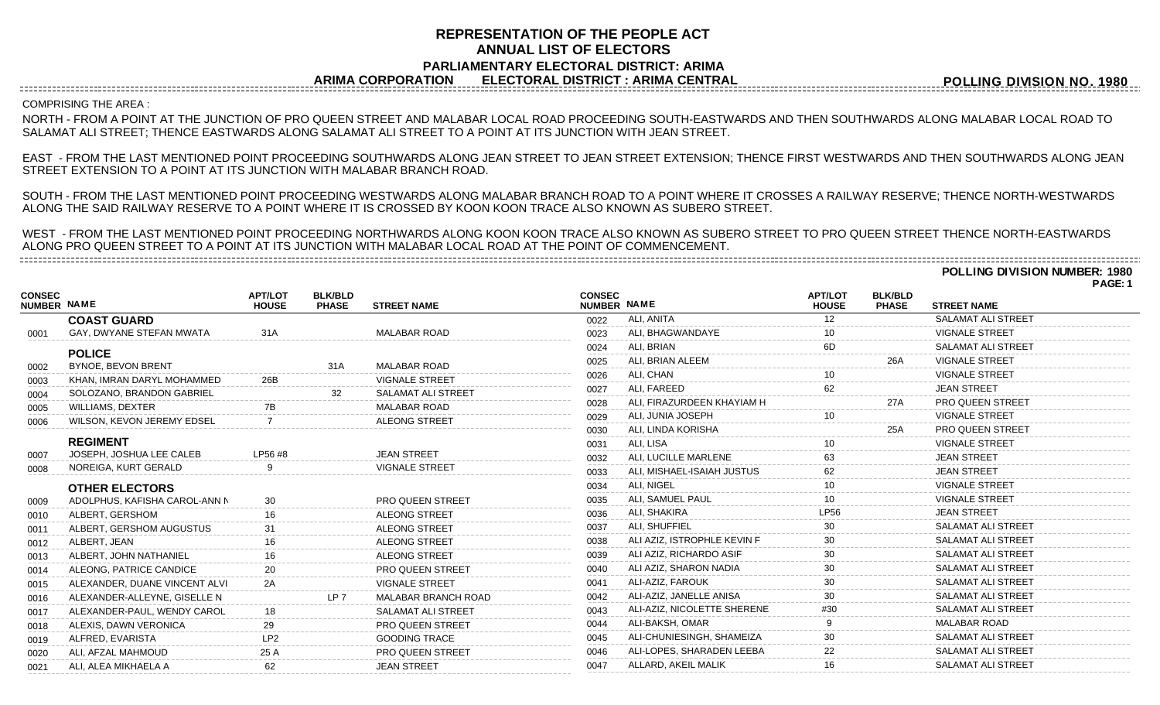## **REPRESENTATION OF THE PEOPLE ACT ANNUAL LIST OF ELECTORS PARLIAMENTARY ELECTORAL DISTRICT: ARIMA ARIMA CORPORATION ELECTORAL DISTRICT : ARIMA CENTRAL**

**POLLING DIVISION NO. 1980**

## COMPRISING THE AREA :

NORTH - FROM A POINT AT THE JUNCTION OF PRO QUEEN STREET AND MALABAR LOCAL ROAD PROCEEDING SOUTH-EASTWARDS AND THEN SOUTHWARDS ALONG MALABAR LOCAL ROAD TO SALAMAT ALI STREET; THENCE EASTWARDS ALONG SALAMAT ALI STREET TO A POINT AT ITS JUNCTION WITH JEAN STREET.

EAST - FROM THE LAST MENTIONED POINT PROCEEDING SOUTHWARDS ALONG JEAN STREET TO JEAN STREET EXTENSION; THENCE FIRST WESTWARDS AND THEN SOUTHWARDS ALONG JEAN STREET EXTENSION TO A POINT AT ITS JUNCTION WITH MALABAR BRANCH ROAD.

SOUTH - FROM THE LAST MENTIONED POINT PROCEEDING WESTWARDS ALONG MALABAR BRANCH ROAD TO A POINT WHERE IT CROSSES A RAILWAY RESERVE; THENCE NORTH-WESTWARDS ALONG THE SAID RAILWAY RESERVE TO A POINT WHERE IT IS CROSSED BY KOON KOON TRACE ALSO KNOWN AS SUBERO STREET.

WEST - FROM THE LAST MENTIONED POINT PROCEEDING NORTHWARDS ALONG KOON KOON TRACE ALSO KNOWN AS SUBERO STREET TO PRO QUEEN STREET THENCE NORTH-EASTWARDS ALONG PRO QUEEN STREET TO A POINT AT ITS JUNCTION WITH MALABAR LOCAL ROAD AT THE POINT OF COMMENCEMENT.

**POLLING DIVISION NUMBER: 1980 PAGE: 1**

| <b>CONSEC</b><br><b>NUMBER NAME</b> |                               | <b>APT/LOT</b><br><b>HOUSE</b> | <b>BLK/BLD</b><br><b>PHASE</b> | <b>STREET NAME</b>         | <b>CONSEC</b><br>NUMBER NAME |                             | <b>APT/LOT</b><br><b>HOUSE</b> | <b>BLK/BLD</b><br><b>PHASE</b> | <b>STREET NAME</b>        |  |
|-------------------------------------|-------------------------------|--------------------------------|--------------------------------|----------------------------|------------------------------|-----------------------------|--------------------------------|--------------------------------|---------------------------|--|
|                                     | <b>COAST GUARD</b>            |                                |                                |                            | 0022                         | ALI, ANITA                  | $12 \overline{ }$              |                                | <b>SALAMAT ALI STREET</b> |  |
| 0001                                | GAY, DWYANE STEFAN MWATA      | 31A                            |                                | <b>MALABAR ROAD</b>        | 0023                         | ALI, BHAGWANDAYE            | 10                             |                                | <b>VIGNALE STREET</b>     |  |
|                                     | <b>POLICE</b>                 |                                |                                |                            | 0024                         | ALI, BRIAN                  | 6D                             |                                | <b>SALAMAT ALI STREET</b> |  |
| 0002                                | <b>BYNOE, BEVON BRENT</b>     |                                | 31A                            | <b>MALABAR ROAD</b>        | 0025                         | ALI. BRIAN ALEEM            |                                | 26A                            | <b>VIGNALE STREET</b>     |  |
| 0003                                | KHAN, IMRAN DARYL MOHAMMED    | 26B                            |                                | <b>VIGNALE STREET</b>      | 0026                         | ALI, CHAN                   |                                |                                | <b>VIGNALE STREET</b>     |  |
| 0004                                | SOLOZANO, BRANDON GABRIEL     |                                |                                | <b>SALAMAT ALI STREET</b>  | 0027                         | ALI. FAREED                 | 62                             |                                | <b>JEAN STREET</b>        |  |
| 0005                                | WILLIAMS, DEXTER              |                                |                                | <b>MALABAR ROAD</b>        | 0028                         | ALI. FIRAZURDEEN KHAYIAM H  |                                | 27A                            | <b>PRO QUEEN STREET</b>   |  |
| 0006                                | WILSON, KEVON JEREMY EDSEL    |                                |                                | <b>ALEONG STREET</b>       | 0029                         | ALI, JUNIA JOSEPH           |                                |                                | <b>VIGNALE STREET</b>     |  |
|                                     |                               |                                |                                |                            | 0030                         | ALI, LINDA KORISHA          |                                | 25A                            | <b>PRO QUEEN STREET</b>   |  |
|                                     | <b>REGIMENT</b>               |                                |                                |                            | 0031                         | ALI. LISA                   |                                |                                | <b>VIGNALE STREET</b>     |  |
| 0007                                | JOSEPH, JOSHUA LEE CALEB      | LP56 #8                        |                                | <b>JEAN STREET</b>         | 0032                         | ALI, LUCILLE MARLENE        |                                |                                | <b>JEAN STREET</b>        |  |
| 0008                                | NOREIGA, KURT GERALD          |                                |                                | <b>VIGNALE STREET</b>      | 0033                         | ALI, MISHAEL-ISAIAH JUSTUS  |                                |                                | <b>JEAN STREET</b>        |  |
|                                     | <b>OTHER ELECTORS</b>         |                                |                                |                            | 0034                         | ALI. NIGEL                  |                                |                                | <b>VIGNALE STREET</b>     |  |
| 0009                                | ADOLPHUS, KAFISHA CAROL-ANN N |                                |                                | PRO QUEEN STREET           | 0035                         | ALI, SAMUEL PAUL            |                                |                                | <b>VIGNALE STREET</b>     |  |
| 0010                                | ALBERT, GERSHOM               |                                |                                | <b>ALEONG STREET</b>       | 0036                         | ALI, SHAKIRA                |                                |                                | <b>JEAN STREET</b>        |  |
| 0011                                | ALBERT. GERSHOM AUGUSTUS      |                                |                                | <b>ALEONG STREET</b>       | 0037                         | ALI, SHUFFIEL               | 30                             |                                | <b>SALAMAT ALI STREET</b> |  |
| 0012                                | ALBERT, JEAN                  |                                |                                | <b>ALEONG STREET</b>       | 0038                         | ALI AZIZ, ISTROPHLE KEVIN F |                                |                                | <b>SALAMAT ALI STREET</b> |  |
| 0013                                | ALBERT, JOHN NATHANIEL        |                                |                                | <b>ALEONG STREET</b>       | 0039                         | ALI AZIZ, RICHARDO ASIF     |                                |                                | <b>SALAMAT ALI STREET</b> |  |
| 0014                                | ALEONG. PATRICE CANDICE       |                                |                                | <b>PRO QUEEN STREET</b>    | 0040                         | ALI AZIZ, SHARON NADIA      | 30                             |                                | <b>SALAMAT ALI STREET</b> |  |
| 0015                                | ALEXANDER, DUANE VINCENT ALVI |                                |                                | <b>VIGNALE STREET</b>      | 0041                         | ALI-AZIZ, FAROUK            |                                |                                | <b>SALAMAT ALI STREET</b> |  |
| 0016                                | ALEXANDER-ALLEYNE, GISELLE N  |                                | LP 7                           | <b>MALABAR BRANCH ROAD</b> | 0042                         | ALI-AZIZ, JANELLE ANISA     |                                |                                | <b>SALAMAT ALI STREET</b> |  |
| 0017                                | ALEXANDER-PAUL. WENDY CAROL   |                                |                                | <b>SALAMAT ALI STREET</b>  | 0043                         | ALI-AZIZ, NICOLETTE SHERENE | #30                            |                                | <b>SALAMAT ALI STREET</b> |  |
| 0018                                | ALEXIS, DAWN VERONICA         | 29                             |                                | <b>PRO QUEEN STREET</b>    | 0044                         | ALI-BAKSH, OMAR             |                                |                                | <b>MALABAR ROAD</b>       |  |
| 0019                                | ALFRED, EVARISTA              | LP <sub>2</sub>                |                                | <b>GOODING TRACE</b>       | 0045                         | ALI-CHUNIESINGH, SHAMEIZA   |                                |                                | <b>SALAMAT ALI STREET</b> |  |
| 0020                                | ALI, AFZAL MAHMOUD            | 25 A                           |                                | <b>PRO QUEEN STREET</b>    | 0046                         | ALI-LOPES, SHARADEN LEEBA   | 22                             |                                | <b>SALAMAT ALI STREET</b> |  |
| 0021                                | ALI, ALEA MIKHAELA A          | 62                             |                                | <b>JEAN STREET</b>         | 0047                         | ALLARD, AKEIL MALIK         |                                |                                | <b>SALAMAT ALI STREET</b> |  |
|                                     |                               |                                |                                |                            |                              |                             |                                |                                |                           |  |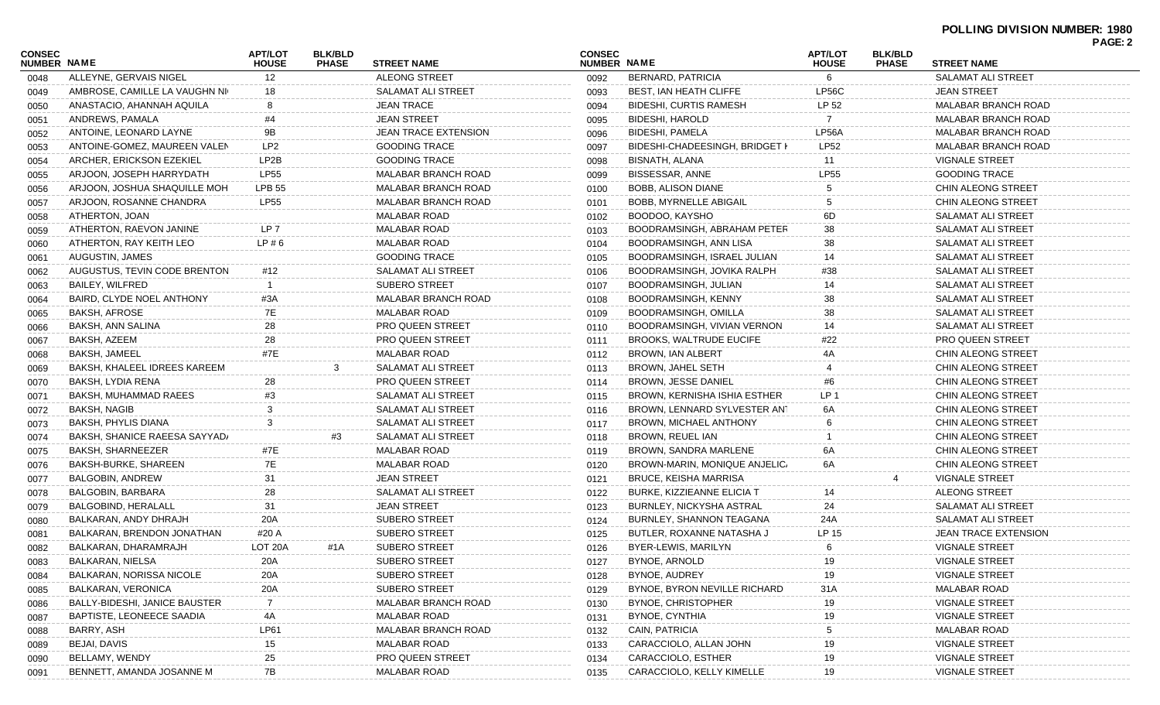| <b>CONSEC</b><br><b>APT/LOT</b><br><b>BLK/BLD</b><br><b>CONSEC</b><br><b>APT/LOT</b><br><b>BLK/BLD</b><br>NUMBER NAME<br>NUMBER NAME<br><b>PHASE</b><br><b>STREET NAME</b><br><b>STREET NAME</b><br><b>HOUSE</b><br><b>PHASE</b><br><b>HOUSE</b><br>ALLEYNE, GERVAIS NIGEL<br>$12 \overline{ }$<br>ALEONG STREET<br>BERNARD, PATRICIA<br>6<br><b>SALAMAT ALI STREET</b><br>0092<br>0048<br><b>SALAMAT ALI STREET</b><br><b>BEST, IAN HEATH CLIFFE</b><br>LP56C<br><b>JEAN STREET</b><br>AMBROSE, CAMILLE LA VAUGHN NI<br>18<br>0093<br>0049<br>LP 52<br><b>JEAN TRACE</b><br>ANASTACIO, AHANNAH AQUILA<br>8<br><b>BIDESHI, CURTIS RAMESH</b><br><b>MALABAR BRANCH ROAD</b><br>0094<br>0050<br><b>JEAN STREET</b><br>BIDESHI, HAROLD<br>ANDREWS, PAMALA<br>#4<br><b>MALABAR BRANCH ROAD</b><br>0095<br>0051<br>9Β<br><b>JEAN TRACE EXTENSION</b><br><b>BIDESHI, PAMELA</b><br><b>LP56A</b><br>ANTOINE, LEONARD LAYNE<br>MALABAR BRANCH ROAD<br>0096<br>0052<br>LP <sub>2</sub><br><b>GOODING TRACE</b><br>BIDESHI-CHADEESINGH, BRIDGET I<br><b>LP52</b><br>ANTOINE-GOMEZ, MAUREEN VALEN<br>MALABAR BRANCH ROAD<br>0097<br>0053<br>LP2B<br><b>GOODING TRACE</b><br>ARCHER, ERICKSON EZEKIEL<br>BISNATH, ALANA<br><b>VIGNALE STREET</b><br>0098<br>11<br>0054<br><b>LP55</b><br><b>LP55</b><br><b>GOODING TRACE</b><br>ARJOON, JOSEPH HARRYDATH<br><b>MALABAR BRANCH ROAD</b><br>BISSESSAR, ANNE<br>0099<br>0055<br><b>CHIN ALEONG STREET</b><br>ARJOON, JOSHUA SHAQUILLE MOH<br><b>LPB 55</b><br>MALABAR BRANCH ROAD<br>BOBB, ALISON DIANE<br>0100<br>0056<br><b>LP55</b><br>ARJOON, ROSANNE CHANDRA<br>MALABAR BRANCH ROAD<br><b>BOBB. MYRNELLE ABIGAIL</b><br>CHIN ALEONG STREET<br>0101<br>0057<br>6D<br>ATHERTON, JOAN<br>MALABAR ROAD<br>BOODOO, KAYSHO<br>SALAMAT ALI STREET<br>0102<br>0058<br>LP 7<br><b>MALABAR ROAD</b><br>BOODRAMSINGH, ABRAHAM PETER<br>38<br>ATHERTON, RAEVON JANINE<br>SALAMAT ALI STREET<br>0103<br>0059<br>LP#6<br><b>MALABAR ROAD</b><br>ATHERTON, RAY KEITH LEO<br>BOODRAMSINGH, ANN LISA<br>38<br>SALAMAT ALI STREET<br>0104<br>0060<br><b>GOODING TRACE</b><br>AUGUSTIN, JAMES<br>BOODRAMSINGH, ISRAEL JULIAN<br>SALAMAT ALI STREET<br>0105<br>14<br>0061<br>AUGUSTUS, TEVIN CODE BRENTON<br>#38<br>#12<br>SALAMAT ALI STREET<br>BOODRAMSINGH, JOVIKA RALPH<br><b>SALAMAT ALI STREET</b><br>0106<br>0062<br><b>SUBERO STREET</b><br>BAILEY, WILFRED<br>BOODRAMSINGH, JULIAN<br><b>SALAMAT ALI STREET</b><br>0107<br>0063<br>14<br>BAIRD, CLYDE NOEL ANTHONY<br>#3A<br><b>MALABAR BRANCH ROAD</b><br>BOODRAMSINGH, KENNY<br>38<br>SALAMAT ALI STREET<br>0108<br>0064<br>7E<br>38<br>BAKSH, AFROSE<br><b>MALABAR ROAD</b><br>BOODRAMSINGH, OMILLA<br>SALAMAT ALI STREET<br>0109<br>0065<br>28<br>BAKSH, ANN SALINA<br><b>PRO QUEEN STREET</b><br>BOODRAMSINGH, VIVIAN VERNON<br>SALAMAT ALI STREET<br>0110<br>14<br>0066<br>28<br><b>PRO QUEEN STREET</b><br><b>BROOKS, WALTRUDE EUCIFE</b><br>BAKSH, AZEEM<br>#22<br>PRO QUEEN STREET<br>0111<br>0067<br>#7E<br><b>MALABAR ROAD</b><br><b>BROWN, IAN ALBERT</b><br>BAKSH, JAMEEL<br>4A<br>CHIN ALEONG STREET<br>0112<br>0068<br><b>BAKSH, KHALEEL IDREES KAREEM</b><br>BROWN, JAHEL SETH<br>3<br>SALAMAT ALI STREET<br>CHIN ALEONG STREET<br>0113<br>0069<br><b>PRO QUEEN STREET</b><br>BROWN, JESSE DANIEL<br>BAKSH, LYDIA RENA<br>28<br>#6<br>CHIN ALEONG STREET<br>0114<br>0070<br>LP <sub>1</sub><br>#3<br><b>SALAMAT ALI STREET</b><br>BAKSH, MUHAMMAD RAEES<br>BROWN, KERNISHA ISHIA ESTHER<br>CHIN ALEONG STREET<br>0115<br>0071<br>3<br>BAKSH, NAGIB<br>SALAMAT ALI STREET<br>BROWN, LENNARD SYLVESTER ANT<br>6A<br>CHIN ALEONG STREET<br>0116<br>0072<br>3<br>BAKSH, PHYLIS DIANA<br>SALAMAT ALI STREET<br>BROWN, MICHAEL ANTHONY<br>CHIN ALEONG STREET<br>0117<br>0073<br>SALAMAT ALI STREET<br>BROWN, REUEL IAN<br>BAKSH, SHANICE RAEESA SAYYAD/<br>#3<br>CHIN ALEONG STREET<br>0074<br>0118<br><b>MALABAR ROAD</b><br>BAKSH, SHARNEEZER<br>BROWN, SANDRA MARLENE<br>6A<br>CHIN ALEONG STREET<br>#7E<br>0119<br>0075<br>7E<br>6A<br><b>MALABAR ROAD</b><br>BAKSH-BURKE, SHAREEN<br>BROWN-MARIN, MONIQUE ANJELIC/<br><b>CHIN ALEONG STREET</b><br>0120<br>0076<br>31<br><b>JEAN STREET</b><br>BALGOBIN, ANDREW<br><b>BRUCE, KEISHA MARRISA</b><br><b>VIGNALE STREET</b><br>0121<br>0077<br>28<br><b>SALAMAT ALI STREET</b><br>ALEONG STREET<br>BALGOBIN, BARBARA<br>BURKE, KIZZIEANNE ELICIA T<br>0122<br>14<br>0078<br>31<br><b>JEAN STREET</b><br>24<br>BALGOBIND, HERALALL<br>BURNLEY, NICKYSHA ASTRAL<br>SALAMAT ALI STREET<br>0123<br>0079<br><b>SUBERO STREET</b><br>BALKARAN, ANDY DHRAJH<br>20A<br>BURNLEY, SHANNON TEAGANA<br>SALAMAT ALI STREET<br>24A<br>0080<br>0124<br><b>SUBERO STREET</b><br>LP 15<br>JEAN TRACE EXTENSION<br>BALKARAN, BRENDON JONATHAN<br>#20 A<br>BUTLER, ROXANNE NATASHA J<br>0125<br>0081<br><b>SUBERO STREET</b><br>BYER-LEWIS, MARILYN<br><b>VIGNALE STREET</b><br>BALKARAN, DHARAMRAJH<br>LOT 20A<br>#1A<br>0126<br>0082<br>6<br>20A<br>SUBERO STREET<br><b>BYNOE, ARNOLD</b><br>19<br><b>VIGNALE STREET</b><br>BALKARAN, NIELSA<br>0127<br>0083<br><b>BALKARAN, NORISSA NICOLE</b><br>20A<br><b>SUBERO STREET</b><br>BYNOE, AUDREY<br>19<br><b>VIGNALE STREET</b><br>0128<br>0084<br>20A<br><b>SUBERO STREET</b><br>BYNOE, BYRON NEVILLE RICHARD<br>31A<br><b>MALABAR ROAD</b><br>BALKARAN, VERONICA<br>0129<br>0085<br>BALLY-BIDESHI, JANICE BAUSTER<br>7<br>MALABAR BRANCH ROAD<br><b>BYNOE, CHRISTOPHER</b><br>19<br><b>VIGNALE STREET</b><br>0130<br>0086<br>BAPTISTE, LEONEECE SAADIA<br>4A<br><b>MALABAR ROAD</b><br>BYNOE, CYNTHIA<br>19<br><b>VIGNALE STREET</b><br>0131<br>0087<br>BARRY, ASH<br><b>LP61</b><br><b>MALABAR BRANCH ROAD</b><br>CAIN, PATRICIA<br><b>MALABAR ROAD</b><br>0132<br>0088<br>BEJAI, DAVIS<br><b>MALABAR ROAD</b><br>CARACCIOLO, ALLAN JOHN<br>19<br>15<br><b>VIGNALE STREET</b><br>0089<br>0133<br>25<br>19<br>BELLAMY, WENDY<br>PRO QUEEN STREET<br>CARACCIOLO, ESTHER<br><b>VIGNALE STREET</b><br>0134<br>0090<br>7B<br>19<br>BENNETT, AMANDA JOSANNE M<br><b>MALABAR ROAD</b><br>CARACCIOLO, KELLY KIMELLE<br><b>VIGNALE STREET</b><br>0091<br>0135 |  |  |  |  |  | PAGE: 2 |
|------------------------------------------------------------------------------------------------------------------------------------------------------------------------------------------------------------------------------------------------------------------------------------------------------------------------------------------------------------------------------------------------------------------------------------------------------------------------------------------------------------------------------------------------------------------------------------------------------------------------------------------------------------------------------------------------------------------------------------------------------------------------------------------------------------------------------------------------------------------------------------------------------------------------------------------------------------------------------------------------------------------------------------------------------------------------------------------------------------------------------------------------------------------------------------------------------------------------------------------------------------------------------------------------------------------------------------------------------------------------------------------------------------------------------------------------------------------------------------------------------------------------------------------------------------------------------------------------------------------------------------------------------------------------------------------------------------------------------------------------------------------------------------------------------------------------------------------------------------------------------------------------------------------------------------------------------------------------------------------------------------------------------------------------------------------------------------------------------------------------------------------------------------------------------------------------------------------------------------------------------------------------------------------------------------------------------------------------------------------------------------------------------------------------------------------------------------------------------------------------------------------------------------------------------------------------------------------------------------------------------------------------------------------------------------------------------------------------------------------------------------------------------------------------------------------------------------------------------------------------------------------------------------------------------------------------------------------------------------------------------------------------------------------------------------------------------------------------------------------------------------------------------------------------------------------------------------------------------------------------------------------------------------------------------------------------------------------------------------------------------------------------------------------------------------------------------------------------------------------------------------------------------------------------------------------------------------------------------------------------------------------------------------------------------------------------------------------------------------------------------------------------------------------------------------------------------------------------------------------------------------------------------------------------------------------------------------------------------------------------------------------------------------------------------------------------------------------------------------------------------------------------------------------------------------------------------------------------------------------------------------------------------------------------------------------------------------------------------------------------------------------------------------------------------------------------------------------------------------------------------------------------------------------------------------------------------------------------------------------------------------------------------------------------------------------------------------------------------------------------------------------------------------------------------------------------------------------------------------------------------------------------------------------------------------------------------------------------------------------------------------------------------------------------------------------------------------------------------------------------------------------------------------------------------------------------------------------------------------------------------------------------------------------------------------------------------------------------------------------------------------------------------------------------------------------------------------------------------------------------------------------------------------------------------------------------------------------------------------------------------------------------------------------------------------------------------------------------------------------------------------------------------------------------------------------------------------------------------------------------------------------------------------------------------------------------------------------------------------------------------------------------------------------------------------------------------------------------------------------------------|--|--|--|--|--|---------|
|                                                                                                                                                                                                                                                                                                                                                                                                                                                                                                                                                                                                                                                                                                                                                                                                                                                                                                                                                                                                                                                                                                                                                                                                                                                                                                                                                                                                                                                                                                                                                                                                                                                                                                                                                                                                                                                                                                                                                                                                                                                                                                                                                                                                                                                                                                                                                                                                                                                                                                                                                                                                                                                                                                                                                                                                                                                                                                                                                                                                                                                                                                                                                                                                                                                                                                                                                                                                                                                                                                                                                                                                                                                                                                                                                                                                                                                                                                                                                                                                                                                                                                                                                                                                                                                                                                                                                                                                                                                                                                                                                                                                                                                                                                                                                                                                                                                                                                                                                                                                                                                                                                                                                                                                                                                                                                                                                                                                                                                                                                                                                                                                                                                                                                                                                                                                                                                                                                                                                                                                                                                                                                                              |  |  |  |  |  |         |
|                                                                                                                                                                                                                                                                                                                                                                                                                                                                                                                                                                                                                                                                                                                                                                                                                                                                                                                                                                                                                                                                                                                                                                                                                                                                                                                                                                                                                                                                                                                                                                                                                                                                                                                                                                                                                                                                                                                                                                                                                                                                                                                                                                                                                                                                                                                                                                                                                                                                                                                                                                                                                                                                                                                                                                                                                                                                                                                                                                                                                                                                                                                                                                                                                                                                                                                                                                                                                                                                                                                                                                                                                                                                                                                                                                                                                                                                                                                                                                                                                                                                                                                                                                                                                                                                                                                                                                                                                                                                                                                                                                                                                                                                                                                                                                                                                                                                                                                                                                                                                                                                                                                                                                                                                                                                                                                                                                                                                                                                                                                                                                                                                                                                                                                                                                                                                                                                                                                                                                                                                                                                                                                              |  |  |  |  |  |         |
|                                                                                                                                                                                                                                                                                                                                                                                                                                                                                                                                                                                                                                                                                                                                                                                                                                                                                                                                                                                                                                                                                                                                                                                                                                                                                                                                                                                                                                                                                                                                                                                                                                                                                                                                                                                                                                                                                                                                                                                                                                                                                                                                                                                                                                                                                                                                                                                                                                                                                                                                                                                                                                                                                                                                                                                                                                                                                                                                                                                                                                                                                                                                                                                                                                                                                                                                                                                                                                                                                                                                                                                                                                                                                                                                                                                                                                                                                                                                                                                                                                                                                                                                                                                                                                                                                                                                                                                                                                                                                                                                                                                                                                                                                                                                                                                                                                                                                                                                                                                                                                                                                                                                                                                                                                                                                                                                                                                                                                                                                                                                                                                                                                                                                                                                                                                                                                                                                                                                                                                                                                                                                                                              |  |  |  |  |  |         |
|                                                                                                                                                                                                                                                                                                                                                                                                                                                                                                                                                                                                                                                                                                                                                                                                                                                                                                                                                                                                                                                                                                                                                                                                                                                                                                                                                                                                                                                                                                                                                                                                                                                                                                                                                                                                                                                                                                                                                                                                                                                                                                                                                                                                                                                                                                                                                                                                                                                                                                                                                                                                                                                                                                                                                                                                                                                                                                                                                                                                                                                                                                                                                                                                                                                                                                                                                                                                                                                                                                                                                                                                                                                                                                                                                                                                                                                                                                                                                                                                                                                                                                                                                                                                                                                                                                                                                                                                                                                                                                                                                                                                                                                                                                                                                                                                                                                                                                                                                                                                                                                                                                                                                                                                                                                                                                                                                                                                                                                                                                                                                                                                                                                                                                                                                                                                                                                                                                                                                                                                                                                                                                                              |  |  |  |  |  |         |
|                                                                                                                                                                                                                                                                                                                                                                                                                                                                                                                                                                                                                                                                                                                                                                                                                                                                                                                                                                                                                                                                                                                                                                                                                                                                                                                                                                                                                                                                                                                                                                                                                                                                                                                                                                                                                                                                                                                                                                                                                                                                                                                                                                                                                                                                                                                                                                                                                                                                                                                                                                                                                                                                                                                                                                                                                                                                                                                                                                                                                                                                                                                                                                                                                                                                                                                                                                                                                                                                                                                                                                                                                                                                                                                                                                                                                                                                                                                                                                                                                                                                                                                                                                                                                                                                                                                                                                                                                                                                                                                                                                                                                                                                                                                                                                                                                                                                                                                                                                                                                                                                                                                                                                                                                                                                                                                                                                                                                                                                                                                                                                                                                                                                                                                                                                                                                                                                                                                                                                                                                                                                                                                              |  |  |  |  |  |         |
|                                                                                                                                                                                                                                                                                                                                                                                                                                                                                                                                                                                                                                                                                                                                                                                                                                                                                                                                                                                                                                                                                                                                                                                                                                                                                                                                                                                                                                                                                                                                                                                                                                                                                                                                                                                                                                                                                                                                                                                                                                                                                                                                                                                                                                                                                                                                                                                                                                                                                                                                                                                                                                                                                                                                                                                                                                                                                                                                                                                                                                                                                                                                                                                                                                                                                                                                                                                                                                                                                                                                                                                                                                                                                                                                                                                                                                                                                                                                                                                                                                                                                                                                                                                                                                                                                                                                                                                                                                                                                                                                                                                                                                                                                                                                                                                                                                                                                                                                                                                                                                                                                                                                                                                                                                                                                                                                                                                                                                                                                                                                                                                                                                                                                                                                                                                                                                                                                                                                                                                                                                                                                                                              |  |  |  |  |  |         |
|                                                                                                                                                                                                                                                                                                                                                                                                                                                                                                                                                                                                                                                                                                                                                                                                                                                                                                                                                                                                                                                                                                                                                                                                                                                                                                                                                                                                                                                                                                                                                                                                                                                                                                                                                                                                                                                                                                                                                                                                                                                                                                                                                                                                                                                                                                                                                                                                                                                                                                                                                                                                                                                                                                                                                                                                                                                                                                                                                                                                                                                                                                                                                                                                                                                                                                                                                                                                                                                                                                                                                                                                                                                                                                                                                                                                                                                                                                                                                                                                                                                                                                                                                                                                                                                                                                                                                                                                                                                                                                                                                                                                                                                                                                                                                                                                                                                                                                                                                                                                                                                                                                                                                                                                                                                                                                                                                                                                                                                                                                                                                                                                                                                                                                                                                                                                                                                                                                                                                                                                                                                                                                                              |  |  |  |  |  |         |
|                                                                                                                                                                                                                                                                                                                                                                                                                                                                                                                                                                                                                                                                                                                                                                                                                                                                                                                                                                                                                                                                                                                                                                                                                                                                                                                                                                                                                                                                                                                                                                                                                                                                                                                                                                                                                                                                                                                                                                                                                                                                                                                                                                                                                                                                                                                                                                                                                                                                                                                                                                                                                                                                                                                                                                                                                                                                                                                                                                                                                                                                                                                                                                                                                                                                                                                                                                                                                                                                                                                                                                                                                                                                                                                                                                                                                                                                                                                                                                                                                                                                                                                                                                                                                                                                                                                                                                                                                                                                                                                                                                                                                                                                                                                                                                                                                                                                                                                                                                                                                                                                                                                                                                                                                                                                                                                                                                                                                                                                                                                                                                                                                                                                                                                                                                                                                                                                                                                                                                                                                                                                                                                              |  |  |  |  |  |         |
|                                                                                                                                                                                                                                                                                                                                                                                                                                                                                                                                                                                                                                                                                                                                                                                                                                                                                                                                                                                                                                                                                                                                                                                                                                                                                                                                                                                                                                                                                                                                                                                                                                                                                                                                                                                                                                                                                                                                                                                                                                                                                                                                                                                                                                                                                                                                                                                                                                                                                                                                                                                                                                                                                                                                                                                                                                                                                                                                                                                                                                                                                                                                                                                                                                                                                                                                                                                                                                                                                                                                                                                                                                                                                                                                                                                                                                                                                                                                                                                                                                                                                                                                                                                                                                                                                                                                                                                                                                                                                                                                                                                                                                                                                                                                                                                                                                                                                                                                                                                                                                                                                                                                                                                                                                                                                                                                                                                                                                                                                                                                                                                                                                                                                                                                                                                                                                                                                                                                                                                                                                                                                                                              |  |  |  |  |  |         |
|                                                                                                                                                                                                                                                                                                                                                                                                                                                                                                                                                                                                                                                                                                                                                                                                                                                                                                                                                                                                                                                                                                                                                                                                                                                                                                                                                                                                                                                                                                                                                                                                                                                                                                                                                                                                                                                                                                                                                                                                                                                                                                                                                                                                                                                                                                                                                                                                                                                                                                                                                                                                                                                                                                                                                                                                                                                                                                                                                                                                                                                                                                                                                                                                                                                                                                                                                                                                                                                                                                                                                                                                                                                                                                                                                                                                                                                                                                                                                                                                                                                                                                                                                                                                                                                                                                                                                                                                                                                                                                                                                                                                                                                                                                                                                                                                                                                                                                                                                                                                                                                                                                                                                                                                                                                                                                                                                                                                                                                                                                                                                                                                                                                                                                                                                                                                                                                                                                                                                                                                                                                                                                                              |  |  |  |  |  |         |
|                                                                                                                                                                                                                                                                                                                                                                                                                                                                                                                                                                                                                                                                                                                                                                                                                                                                                                                                                                                                                                                                                                                                                                                                                                                                                                                                                                                                                                                                                                                                                                                                                                                                                                                                                                                                                                                                                                                                                                                                                                                                                                                                                                                                                                                                                                                                                                                                                                                                                                                                                                                                                                                                                                                                                                                                                                                                                                                                                                                                                                                                                                                                                                                                                                                                                                                                                                                                                                                                                                                                                                                                                                                                                                                                                                                                                                                                                                                                                                                                                                                                                                                                                                                                                                                                                                                                                                                                                                                                                                                                                                                                                                                                                                                                                                                                                                                                                                                                                                                                                                                                                                                                                                                                                                                                                                                                                                                                                                                                                                                                                                                                                                                                                                                                                                                                                                                                                                                                                                                                                                                                                                                              |  |  |  |  |  |         |
|                                                                                                                                                                                                                                                                                                                                                                                                                                                                                                                                                                                                                                                                                                                                                                                                                                                                                                                                                                                                                                                                                                                                                                                                                                                                                                                                                                                                                                                                                                                                                                                                                                                                                                                                                                                                                                                                                                                                                                                                                                                                                                                                                                                                                                                                                                                                                                                                                                                                                                                                                                                                                                                                                                                                                                                                                                                                                                                                                                                                                                                                                                                                                                                                                                                                                                                                                                                                                                                                                                                                                                                                                                                                                                                                                                                                                                                                                                                                                                                                                                                                                                                                                                                                                                                                                                                                                                                                                                                                                                                                                                                                                                                                                                                                                                                                                                                                                                                                                                                                                                                                                                                                                                                                                                                                                                                                                                                                                                                                                                                                                                                                                                                                                                                                                                                                                                                                                                                                                                                                                                                                                                                              |  |  |  |  |  |         |
|                                                                                                                                                                                                                                                                                                                                                                                                                                                                                                                                                                                                                                                                                                                                                                                                                                                                                                                                                                                                                                                                                                                                                                                                                                                                                                                                                                                                                                                                                                                                                                                                                                                                                                                                                                                                                                                                                                                                                                                                                                                                                                                                                                                                                                                                                                                                                                                                                                                                                                                                                                                                                                                                                                                                                                                                                                                                                                                                                                                                                                                                                                                                                                                                                                                                                                                                                                                                                                                                                                                                                                                                                                                                                                                                                                                                                                                                                                                                                                                                                                                                                                                                                                                                                                                                                                                                                                                                                                                                                                                                                                                                                                                                                                                                                                                                                                                                                                                                                                                                                                                                                                                                                                                                                                                                                                                                                                                                                                                                                                                                                                                                                                                                                                                                                                                                                                                                                                                                                                                                                                                                                                                              |  |  |  |  |  |         |
|                                                                                                                                                                                                                                                                                                                                                                                                                                                                                                                                                                                                                                                                                                                                                                                                                                                                                                                                                                                                                                                                                                                                                                                                                                                                                                                                                                                                                                                                                                                                                                                                                                                                                                                                                                                                                                                                                                                                                                                                                                                                                                                                                                                                                                                                                                                                                                                                                                                                                                                                                                                                                                                                                                                                                                                                                                                                                                                                                                                                                                                                                                                                                                                                                                                                                                                                                                                                                                                                                                                                                                                                                                                                                                                                                                                                                                                                                                                                                                                                                                                                                                                                                                                                                                                                                                                                                                                                                                                                                                                                                                                                                                                                                                                                                                                                                                                                                                                                                                                                                                                                                                                                                                                                                                                                                                                                                                                                                                                                                                                                                                                                                                                                                                                                                                                                                                                                                                                                                                                                                                                                                                                              |  |  |  |  |  |         |
|                                                                                                                                                                                                                                                                                                                                                                                                                                                                                                                                                                                                                                                                                                                                                                                                                                                                                                                                                                                                                                                                                                                                                                                                                                                                                                                                                                                                                                                                                                                                                                                                                                                                                                                                                                                                                                                                                                                                                                                                                                                                                                                                                                                                                                                                                                                                                                                                                                                                                                                                                                                                                                                                                                                                                                                                                                                                                                                                                                                                                                                                                                                                                                                                                                                                                                                                                                                                                                                                                                                                                                                                                                                                                                                                                                                                                                                                                                                                                                                                                                                                                                                                                                                                                                                                                                                                                                                                                                                                                                                                                                                                                                                                                                                                                                                                                                                                                                                                                                                                                                                                                                                                                                                                                                                                                                                                                                                                                                                                                                                                                                                                                                                                                                                                                                                                                                                                                                                                                                                                                                                                                                                              |  |  |  |  |  |         |
|                                                                                                                                                                                                                                                                                                                                                                                                                                                                                                                                                                                                                                                                                                                                                                                                                                                                                                                                                                                                                                                                                                                                                                                                                                                                                                                                                                                                                                                                                                                                                                                                                                                                                                                                                                                                                                                                                                                                                                                                                                                                                                                                                                                                                                                                                                                                                                                                                                                                                                                                                                                                                                                                                                                                                                                                                                                                                                                                                                                                                                                                                                                                                                                                                                                                                                                                                                                                                                                                                                                                                                                                                                                                                                                                                                                                                                                                                                                                                                                                                                                                                                                                                                                                                                                                                                                                                                                                                                                                                                                                                                                                                                                                                                                                                                                                                                                                                                                                                                                                                                                                                                                                                                                                                                                                                                                                                                                                                                                                                                                                                                                                                                                                                                                                                                                                                                                                                                                                                                                                                                                                                                                              |  |  |  |  |  |         |
|                                                                                                                                                                                                                                                                                                                                                                                                                                                                                                                                                                                                                                                                                                                                                                                                                                                                                                                                                                                                                                                                                                                                                                                                                                                                                                                                                                                                                                                                                                                                                                                                                                                                                                                                                                                                                                                                                                                                                                                                                                                                                                                                                                                                                                                                                                                                                                                                                                                                                                                                                                                                                                                                                                                                                                                                                                                                                                                                                                                                                                                                                                                                                                                                                                                                                                                                                                                                                                                                                                                                                                                                                                                                                                                                                                                                                                                                                                                                                                                                                                                                                                                                                                                                                                                                                                                                                                                                                                                                                                                                                                                                                                                                                                                                                                                                                                                                                                                                                                                                                                                                                                                                                                                                                                                                                                                                                                                                                                                                                                                                                                                                                                                                                                                                                                                                                                                                                                                                                                                                                                                                                                                              |  |  |  |  |  |         |
|                                                                                                                                                                                                                                                                                                                                                                                                                                                                                                                                                                                                                                                                                                                                                                                                                                                                                                                                                                                                                                                                                                                                                                                                                                                                                                                                                                                                                                                                                                                                                                                                                                                                                                                                                                                                                                                                                                                                                                                                                                                                                                                                                                                                                                                                                                                                                                                                                                                                                                                                                                                                                                                                                                                                                                                                                                                                                                                                                                                                                                                                                                                                                                                                                                                                                                                                                                                                                                                                                                                                                                                                                                                                                                                                                                                                                                                                                                                                                                                                                                                                                                                                                                                                                                                                                                                                                                                                                                                                                                                                                                                                                                                                                                                                                                                                                                                                                                                                                                                                                                                                                                                                                                                                                                                                                                                                                                                                                                                                                                                                                                                                                                                                                                                                                                                                                                                                                                                                                                                                                                                                                                                              |  |  |  |  |  |         |
|                                                                                                                                                                                                                                                                                                                                                                                                                                                                                                                                                                                                                                                                                                                                                                                                                                                                                                                                                                                                                                                                                                                                                                                                                                                                                                                                                                                                                                                                                                                                                                                                                                                                                                                                                                                                                                                                                                                                                                                                                                                                                                                                                                                                                                                                                                                                                                                                                                                                                                                                                                                                                                                                                                                                                                                                                                                                                                                                                                                                                                                                                                                                                                                                                                                                                                                                                                                                                                                                                                                                                                                                                                                                                                                                                                                                                                                                                                                                                                                                                                                                                                                                                                                                                                                                                                                                                                                                                                                                                                                                                                                                                                                                                                                                                                                                                                                                                                                                                                                                                                                                                                                                                                                                                                                                                                                                                                                                                                                                                                                                                                                                                                                                                                                                                                                                                                                                                                                                                                                                                                                                                                                              |  |  |  |  |  |         |
|                                                                                                                                                                                                                                                                                                                                                                                                                                                                                                                                                                                                                                                                                                                                                                                                                                                                                                                                                                                                                                                                                                                                                                                                                                                                                                                                                                                                                                                                                                                                                                                                                                                                                                                                                                                                                                                                                                                                                                                                                                                                                                                                                                                                                                                                                                                                                                                                                                                                                                                                                                                                                                                                                                                                                                                                                                                                                                                                                                                                                                                                                                                                                                                                                                                                                                                                                                                                                                                                                                                                                                                                                                                                                                                                                                                                                                                                                                                                                                                                                                                                                                                                                                                                                                                                                                                                                                                                                                                                                                                                                                                                                                                                                                                                                                                                                                                                                                                                                                                                                                                                                                                                                                                                                                                                                                                                                                                                                                                                                                                                                                                                                                                                                                                                                                                                                                                                                                                                                                                                                                                                                                                              |  |  |  |  |  |         |
|                                                                                                                                                                                                                                                                                                                                                                                                                                                                                                                                                                                                                                                                                                                                                                                                                                                                                                                                                                                                                                                                                                                                                                                                                                                                                                                                                                                                                                                                                                                                                                                                                                                                                                                                                                                                                                                                                                                                                                                                                                                                                                                                                                                                                                                                                                                                                                                                                                                                                                                                                                                                                                                                                                                                                                                                                                                                                                                                                                                                                                                                                                                                                                                                                                                                                                                                                                                                                                                                                                                                                                                                                                                                                                                                                                                                                                                                                                                                                                                                                                                                                                                                                                                                                                                                                                                                                                                                                                                                                                                                                                                                                                                                                                                                                                                                                                                                                                                                                                                                                                                                                                                                                                                                                                                                                                                                                                                                                                                                                                                                                                                                                                                                                                                                                                                                                                                                                                                                                                                                                                                                                                                              |  |  |  |  |  |         |
|                                                                                                                                                                                                                                                                                                                                                                                                                                                                                                                                                                                                                                                                                                                                                                                                                                                                                                                                                                                                                                                                                                                                                                                                                                                                                                                                                                                                                                                                                                                                                                                                                                                                                                                                                                                                                                                                                                                                                                                                                                                                                                                                                                                                                                                                                                                                                                                                                                                                                                                                                                                                                                                                                                                                                                                                                                                                                                                                                                                                                                                                                                                                                                                                                                                                                                                                                                                                                                                                                                                                                                                                                                                                                                                                                                                                                                                                                                                                                                                                                                                                                                                                                                                                                                                                                                                                                                                                                                                                                                                                                                                                                                                                                                                                                                                                                                                                                                                                                                                                                                                                                                                                                                                                                                                                                                                                                                                                                                                                                                                                                                                                                                                                                                                                                                                                                                                                                                                                                                                                                                                                                                                              |  |  |  |  |  |         |
|                                                                                                                                                                                                                                                                                                                                                                                                                                                                                                                                                                                                                                                                                                                                                                                                                                                                                                                                                                                                                                                                                                                                                                                                                                                                                                                                                                                                                                                                                                                                                                                                                                                                                                                                                                                                                                                                                                                                                                                                                                                                                                                                                                                                                                                                                                                                                                                                                                                                                                                                                                                                                                                                                                                                                                                                                                                                                                                                                                                                                                                                                                                                                                                                                                                                                                                                                                                                                                                                                                                                                                                                                                                                                                                                                                                                                                                                                                                                                                                                                                                                                                                                                                                                                                                                                                                                                                                                                                                                                                                                                                                                                                                                                                                                                                                                                                                                                                                                                                                                                                                                                                                                                                                                                                                                                                                                                                                                                                                                                                                                                                                                                                                                                                                                                                                                                                                                                                                                                                                                                                                                                                                              |  |  |  |  |  |         |
|                                                                                                                                                                                                                                                                                                                                                                                                                                                                                                                                                                                                                                                                                                                                                                                                                                                                                                                                                                                                                                                                                                                                                                                                                                                                                                                                                                                                                                                                                                                                                                                                                                                                                                                                                                                                                                                                                                                                                                                                                                                                                                                                                                                                                                                                                                                                                                                                                                                                                                                                                                                                                                                                                                                                                                                                                                                                                                                                                                                                                                                                                                                                                                                                                                                                                                                                                                                                                                                                                                                                                                                                                                                                                                                                                                                                                                                                                                                                                                                                                                                                                                                                                                                                                                                                                                                                                                                                                                                                                                                                                                                                                                                                                                                                                                                                                                                                                                                                                                                                                                                                                                                                                                                                                                                                                                                                                                                                                                                                                                                                                                                                                                                                                                                                                                                                                                                                                                                                                                                                                                                                                                                              |  |  |  |  |  |         |
|                                                                                                                                                                                                                                                                                                                                                                                                                                                                                                                                                                                                                                                                                                                                                                                                                                                                                                                                                                                                                                                                                                                                                                                                                                                                                                                                                                                                                                                                                                                                                                                                                                                                                                                                                                                                                                                                                                                                                                                                                                                                                                                                                                                                                                                                                                                                                                                                                                                                                                                                                                                                                                                                                                                                                                                                                                                                                                                                                                                                                                                                                                                                                                                                                                                                                                                                                                                                                                                                                                                                                                                                                                                                                                                                                                                                                                                                                                                                                                                                                                                                                                                                                                                                                                                                                                                                                                                                                                                                                                                                                                                                                                                                                                                                                                                                                                                                                                                                                                                                                                                                                                                                                                                                                                                                                                                                                                                                                                                                                                                                                                                                                                                                                                                                                                                                                                                                                                                                                                                                                                                                                                                              |  |  |  |  |  |         |
|                                                                                                                                                                                                                                                                                                                                                                                                                                                                                                                                                                                                                                                                                                                                                                                                                                                                                                                                                                                                                                                                                                                                                                                                                                                                                                                                                                                                                                                                                                                                                                                                                                                                                                                                                                                                                                                                                                                                                                                                                                                                                                                                                                                                                                                                                                                                                                                                                                                                                                                                                                                                                                                                                                                                                                                                                                                                                                                                                                                                                                                                                                                                                                                                                                                                                                                                                                                                                                                                                                                                                                                                                                                                                                                                                                                                                                                                                                                                                                                                                                                                                                                                                                                                                                                                                                                                                                                                                                                                                                                                                                                                                                                                                                                                                                                                                                                                                                                                                                                                                                                                                                                                                                                                                                                                                                                                                                                                                                                                                                                                                                                                                                                                                                                                                                                                                                                                                                                                                                                                                                                                                                                              |  |  |  |  |  |         |
|                                                                                                                                                                                                                                                                                                                                                                                                                                                                                                                                                                                                                                                                                                                                                                                                                                                                                                                                                                                                                                                                                                                                                                                                                                                                                                                                                                                                                                                                                                                                                                                                                                                                                                                                                                                                                                                                                                                                                                                                                                                                                                                                                                                                                                                                                                                                                                                                                                                                                                                                                                                                                                                                                                                                                                                                                                                                                                                                                                                                                                                                                                                                                                                                                                                                                                                                                                                                                                                                                                                                                                                                                                                                                                                                                                                                                                                                                                                                                                                                                                                                                                                                                                                                                                                                                                                                                                                                                                                                                                                                                                                                                                                                                                                                                                                                                                                                                                                                                                                                                                                                                                                                                                                                                                                                                                                                                                                                                                                                                                                                                                                                                                                                                                                                                                                                                                                                                                                                                                                                                                                                                                                              |  |  |  |  |  |         |
|                                                                                                                                                                                                                                                                                                                                                                                                                                                                                                                                                                                                                                                                                                                                                                                                                                                                                                                                                                                                                                                                                                                                                                                                                                                                                                                                                                                                                                                                                                                                                                                                                                                                                                                                                                                                                                                                                                                                                                                                                                                                                                                                                                                                                                                                                                                                                                                                                                                                                                                                                                                                                                                                                                                                                                                                                                                                                                                                                                                                                                                                                                                                                                                                                                                                                                                                                                                                                                                                                                                                                                                                                                                                                                                                                                                                                                                                                                                                                                                                                                                                                                                                                                                                                                                                                                                                                                                                                                                                                                                                                                                                                                                                                                                                                                                                                                                                                                                                                                                                                                                                                                                                                                                                                                                                                                                                                                                                                                                                                                                                                                                                                                                                                                                                                                                                                                                                                                                                                                                                                                                                                                                              |  |  |  |  |  |         |
|                                                                                                                                                                                                                                                                                                                                                                                                                                                                                                                                                                                                                                                                                                                                                                                                                                                                                                                                                                                                                                                                                                                                                                                                                                                                                                                                                                                                                                                                                                                                                                                                                                                                                                                                                                                                                                                                                                                                                                                                                                                                                                                                                                                                                                                                                                                                                                                                                                                                                                                                                                                                                                                                                                                                                                                                                                                                                                                                                                                                                                                                                                                                                                                                                                                                                                                                                                                                                                                                                                                                                                                                                                                                                                                                                                                                                                                                                                                                                                                                                                                                                                                                                                                                                                                                                                                                                                                                                                                                                                                                                                                                                                                                                                                                                                                                                                                                                                                                                                                                                                                                                                                                                                                                                                                                                                                                                                                                                                                                                                                                                                                                                                                                                                                                                                                                                                                                                                                                                                                                                                                                                                                              |  |  |  |  |  |         |
|                                                                                                                                                                                                                                                                                                                                                                                                                                                                                                                                                                                                                                                                                                                                                                                                                                                                                                                                                                                                                                                                                                                                                                                                                                                                                                                                                                                                                                                                                                                                                                                                                                                                                                                                                                                                                                                                                                                                                                                                                                                                                                                                                                                                                                                                                                                                                                                                                                                                                                                                                                                                                                                                                                                                                                                                                                                                                                                                                                                                                                                                                                                                                                                                                                                                                                                                                                                                                                                                                                                                                                                                                                                                                                                                                                                                                                                                                                                                                                                                                                                                                                                                                                                                                                                                                                                                                                                                                                                                                                                                                                                                                                                                                                                                                                                                                                                                                                                                                                                                                                                                                                                                                                                                                                                                                                                                                                                                                                                                                                                                                                                                                                                                                                                                                                                                                                                                                                                                                                                                                                                                                                                              |  |  |  |  |  |         |
|                                                                                                                                                                                                                                                                                                                                                                                                                                                                                                                                                                                                                                                                                                                                                                                                                                                                                                                                                                                                                                                                                                                                                                                                                                                                                                                                                                                                                                                                                                                                                                                                                                                                                                                                                                                                                                                                                                                                                                                                                                                                                                                                                                                                                                                                                                                                                                                                                                                                                                                                                                                                                                                                                                                                                                                                                                                                                                                                                                                                                                                                                                                                                                                                                                                                                                                                                                                                                                                                                                                                                                                                                                                                                                                                                                                                                                                                                                                                                                                                                                                                                                                                                                                                                                                                                                                                                                                                                                                                                                                                                                                                                                                                                                                                                                                                                                                                                                                                                                                                                                                                                                                                                                                                                                                                                                                                                                                                                                                                                                                                                                                                                                                                                                                                                                                                                                                                                                                                                                                                                                                                                                                              |  |  |  |  |  |         |
|                                                                                                                                                                                                                                                                                                                                                                                                                                                                                                                                                                                                                                                                                                                                                                                                                                                                                                                                                                                                                                                                                                                                                                                                                                                                                                                                                                                                                                                                                                                                                                                                                                                                                                                                                                                                                                                                                                                                                                                                                                                                                                                                                                                                                                                                                                                                                                                                                                                                                                                                                                                                                                                                                                                                                                                                                                                                                                                                                                                                                                                                                                                                                                                                                                                                                                                                                                                                                                                                                                                                                                                                                                                                                                                                                                                                                                                                                                                                                                                                                                                                                                                                                                                                                                                                                                                                                                                                                                                                                                                                                                                                                                                                                                                                                                                                                                                                                                                                                                                                                                                                                                                                                                                                                                                                                                                                                                                                                                                                                                                                                                                                                                                                                                                                                                                                                                                                                                                                                                                                                                                                                                                              |  |  |  |  |  |         |
|                                                                                                                                                                                                                                                                                                                                                                                                                                                                                                                                                                                                                                                                                                                                                                                                                                                                                                                                                                                                                                                                                                                                                                                                                                                                                                                                                                                                                                                                                                                                                                                                                                                                                                                                                                                                                                                                                                                                                                                                                                                                                                                                                                                                                                                                                                                                                                                                                                                                                                                                                                                                                                                                                                                                                                                                                                                                                                                                                                                                                                                                                                                                                                                                                                                                                                                                                                                                                                                                                                                                                                                                                                                                                                                                                                                                                                                                                                                                                                                                                                                                                                                                                                                                                                                                                                                                                                                                                                                                                                                                                                                                                                                                                                                                                                                                                                                                                                                                                                                                                                                                                                                                                                                                                                                                                                                                                                                                                                                                                                                                                                                                                                                                                                                                                                                                                                                                                                                                                                                                                                                                                                                              |  |  |  |  |  |         |
|                                                                                                                                                                                                                                                                                                                                                                                                                                                                                                                                                                                                                                                                                                                                                                                                                                                                                                                                                                                                                                                                                                                                                                                                                                                                                                                                                                                                                                                                                                                                                                                                                                                                                                                                                                                                                                                                                                                                                                                                                                                                                                                                                                                                                                                                                                                                                                                                                                                                                                                                                                                                                                                                                                                                                                                                                                                                                                                                                                                                                                                                                                                                                                                                                                                                                                                                                                                                                                                                                                                                                                                                                                                                                                                                                                                                                                                                                                                                                                                                                                                                                                                                                                                                                                                                                                                                                                                                                                                                                                                                                                                                                                                                                                                                                                                                                                                                                                                                                                                                                                                                                                                                                                                                                                                                                                                                                                                                                                                                                                                                                                                                                                                                                                                                                                                                                                                                                                                                                                                                                                                                                                                              |  |  |  |  |  |         |
|                                                                                                                                                                                                                                                                                                                                                                                                                                                                                                                                                                                                                                                                                                                                                                                                                                                                                                                                                                                                                                                                                                                                                                                                                                                                                                                                                                                                                                                                                                                                                                                                                                                                                                                                                                                                                                                                                                                                                                                                                                                                                                                                                                                                                                                                                                                                                                                                                                                                                                                                                                                                                                                                                                                                                                                                                                                                                                                                                                                                                                                                                                                                                                                                                                                                                                                                                                                                                                                                                                                                                                                                                                                                                                                                                                                                                                                                                                                                                                                                                                                                                                                                                                                                                                                                                                                                                                                                                                                                                                                                                                                                                                                                                                                                                                                                                                                                                                                                                                                                                                                                                                                                                                                                                                                                                                                                                                                                                                                                                                                                                                                                                                                                                                                                                                                                                                                                                                                                                                                                                                                                                                                              |  |  |  |  |  |         |
|                                                                                                                                                                                                                                                                                                                                                                                                                                                                                                                                                                                                                                                                                                                                                                                                                                                                                                                                                                                                                                                                                                                                                                                                                                                                                                                                                                                                                                                                                                                                                                                                                                                                                                                                                                                                                                                                                                                                                                                                                                                                                                                                                                                                                                                                                                                                                                                                                                                                                                                                                                                                                                                                                                                                                                                                                                                                                                                                                                                                                                                                                                                                                                                                                                                                                                                                                                                                                                                                                                                                                                                                                                                                                                                                                                                                                                                                                                                                                                                                                                                                                                                                                                                                                                                                                                                                                                                                                                                                                                                                                                                                                                                                                                                                                                                                                                                                                                                                                                                                                                                                                                                                                                                                                                                                                                                                                                                                                                                                                                                                                                                                                                                                                                                                                                                                                                                                                                                                                                                                                                                                                                                              |  |  |  |  |  |         |
|                                                                                                                                                                                                                                                                                                                                                                                                                                                                                                                                                                                                                                                                                                                                                                                                                                                                                                                                                                                                                                                                                                                                                                                                                                                                                                                                                                                                                                                                                                                                                                                                                                                                                                                                                                                                                                                                                                                                                                                                                                                                                                                                                                                                                                                                                                                                                                                                                                                                                                                                                                                                                                                                                                                                                                                                                                                                                                                                                                                                                                                                                                                                                                                                                                                                                                                                                                                                                                                                                                                                                                                                                                                                                                                                                                                                                                                                                                                                                                                                                                                                                                                                                                                                                                                                                                                                                                                                                                                                                                                                                                                                                                                                                                                                                                                                                                                                                                                                                                                                                                                                                                                                                                                                                                                                                                                                                                                                                                                                                                                                                                                                                                                                                                                                                                                                                                                                                                                                                                                                                                                                                                                              |  |  |  |  |  |         |
|                                                                                                                                                                                                                                                                                                                                                                                                                                                                                                                                                                                                                                                                                                                                                                                                                                                                                                                                                                                                                                                                                                                                                                                                                                                                                                                                                                                                                                                                                                                                                                                                                                                                                                                                                                                                                                                                                                                                                                                                                                                                                                                                                                                                                                                                                                                                                                                                                                                                                                                                                                                                                                                                                                                                                                                                                                                                                                                                                                                                                                                                                                                                                                                                                                                                                                                                                                                                                                                                                                                                                                                                                                                                                                                                                                                                                                                                                                                                                                                                                                                                                                                                                                                                                                                                                                                                                                                                                                                                                                                                                                                                                                                                                                                                                                                                                                                                                                                                                                                                                                                                                                                                                                                                                                                                                                                                                                                                                                                                                                                                                                                                                                                                                                                                                                                                                                                                                                                                                                                                                                                                                                                              |  |  |  |  |  |         |
|                                                                                                                                                                                                                                                                                                                                                                                                                                                                                                                                                                                                                                                                                                                                                                                                                                                                                                                                                                                                                                                                                                                                                                                                                                                                                                                                                                                                                                                                                                                                                                                                                                                                                                                                                                                                                                                                                                                                                                                                                                                                                                                                                                                                                                                                                                                                                                                                                                                                                                                                                                                                                                                                                                                                                                                                                                                                                                                                                                                                                                                                                                                                                                                                                                                                                                                                                                                                                                                                                                                                                                                                                                                                                                                                                                                                                                                                                                                                                                                                                                                                                                                                                                                                                                                                                                                                                                                                                                                                                                                                                                                                                                                                                                                                                                                                                                                                                                                                                                                                                                                                                                                                                                                                                                                                                                                                                                                                                                                                                                                                                                                                                                                                                                                                                                                                                                                                                                                                                                                                                                                                                                                              |  |  |  |  |  |         |
|                                                                                                                                                                                                                                                                                                                                                                                                                                                                                                                                                                                                                                                                                                                                                                                                                                                                                                                                                                                                                                                                                                                                                                                                                                                                                                                                                                                                                                                                                                                                                                                                                                                                                                                                                                                                                                                                                                                                                                                                                                                                                                                                                                                                                                                                                                                                                                                                                                                                                                                                                                                                                                                                                                                                                                                                                                                                                                                                                                                                                                                                                                                                                                                                                                                                                                                                                                                                                                                                                                                                                                                                                                                                                                                                                                                                                                                                                                                                                                                                                                                                                                                                                                                                                                                                                                                                                                                                                                                                                                                                                                                                                                                                                                                                                                                                                                                                                                                                                                                                                                                                                                                                                                                                                                                                                                                                                                                                                                                                                                                                                                                                                                                                                                                                                                                                                                                                                                                                                                                                                                                                                                                              |  |  |  |  |  |         |
|                                                                                                                                                                                                                                                                                                                                                                                                                                                                                                                                                                                                                                                                                                                                                                                                                                                                                                                                                                                                                                                                                                                                                                                                                                                                                                                                                                                                                                                                                                                                                                                                                                                                                                                                                                                                                                                                                                                                                                                                                                                                                                                                                                                                                                                                                                                                                                                                                                                                                                                                                                                                                                                                                                                                                                                                                                                                                                                                                                                                                                                                                                                                                                                                                                                                                                                                                                                                                                                                                                                                                                                                                                                                                                                                                                                                                                                                                                                                                                                                                                                                                                                                                                                                                                                                                                                                                                                                                                                                                                                                                                                                                                                                                                                                                                                                                                                                                                                                                                                                                                                                                                                                                                                                                                                                                                                                                                                                                                                                                                                                                                                                                                                                                                                                                                                                                                                                                                                                                                                                                                                                                                                              |  |  |  |  |  |         |
|                                                                                                                                                                                                                                                                                                                                                                                                                                                                                                                                                                                                                                                                                                                                                                                                                                                                                                                                                                                                                                                                                                                                                                                                                                                                                                                                                                                                                                                                                                                                                                                                                                                                                                                                                                                                                                                                                                                                                                                                                                                                                                                                                                                                                                                                                                                                                                                                                                                                                                                                                                                                                                                                                                                                                                                                                                                                                                                                                                                                                                                                                                                                                                                                                                                                                                                                                                                                                                                                                                                                                                                                                                                                                                                                                                                                                                                                                                                                                                                                                                                                                                                                                                                                                                                                                                                                                                                                                                                                                                                                                                                                                                                                                                                                                                                                                                                                                                                                                                                                                                                                                                                                                                                                                                                                                                                                                                                                                                                                                                                                                                                                                                                                                                                                                                                                                                                                                                                                                                                                                                                                                                                              |  |  |  |  |  |         |
|                                                                                                                                                                                                                                                                                                                                                                                                                                                                                                                                                                                                                                                                                                                                                                                                                                                                                                                                                                                                                                                                                                                                                                                                                                                                                                                                                                                                                                                                                                                                                                                                                                                                                                                                                                                                                                                                                                                                                                                                                                                                                                                                                                                                                                                                                                                                                                                                                                                                                                                                                                                                                                                                                                                                                                                                                                                                                                                                                                                                                                                                                                                                                                                                                                                                                                                                                                                                                                                                                                                                                                                                                                                                                                                                                                                                                                                                                                                                                                                                                                                                                                                                                                                                                                                                                                                                                                                                                                                                                                                                                                                                                                                                                                                                                                                                                                                                                                                                                                                                                                                                                                                                                                                                                                                                                                                                                                                                                                                                                                                                                                                                                                                                                                                                                                                                                                                                                                                                                                                                                                                                                                                              |  |  |  |  |  |         |
|                                                                                                                                                                                                                                                                                                                                                                                                                                                                                                                                                                                                                                                                                                                                                                                                                                                                                                                                                                                                                                                                                                                                                                                                                                                                                                                                                                                                                                                                                                                                                                                                                                                                                                                                                                                                                                                                                                                                                                                                                                                                                                                                                                                                                                                                                                                                                                                                                                                                                                                                                                                                                                                                                                                                                                                                                                                                                                                                                                                                                                                                                                                                                                                                                                                                                                                                                                                                                                                                                                                                                                                                                                                                                                                                                                                                                                                                                                                                                                                                                                                                                                                                                                                                                                                                                                                                                                                                                                                                                                                                                                                                                                                                                                                                                                                                                                                                                                                                                                                                                                                                                                                                                                                                                                                                                                                                                                                                                                                                                                                                                                                                                                                                                                                                                                                                                                                                                                                                                                                                                                                                                                                              |  |  |  |  |  |         |
|                                                                                                                                                                                                                                                                                                                                                                                                                                                                                                                                                                                                                                                                                                                                                                                                                                                                                                                                                                                                                                                                                                                                                                                                                                                                                                                                                                                                                                                                                                                                                                                                                                                                                                                                                                                                                                                                                                                                                                                                                                                                                                                                                                                                                                                                                                                                                                                                                                                                                                                                                                                                                                                                                                                                                                                                                                                                                                                                                                                                                                                                                                                                                                                                                                                                                                                                                                                                                                                                                                                                                                                                                                                                                                                                                                                                                                                                                                                                                                                                                                                                                                                                                                                                                                                                                                                                                                                                                                                                                                                                                                                                                                                                                                                                                                                                                                                                                                                                                                                                                                                                                                                                                                                                                                                                                                                                                                                                                                                                                                                                                                                                                                                                                                                                                                                                                                                                                                                                                                                                                                                                                                                              |  |  |  |  |  |         |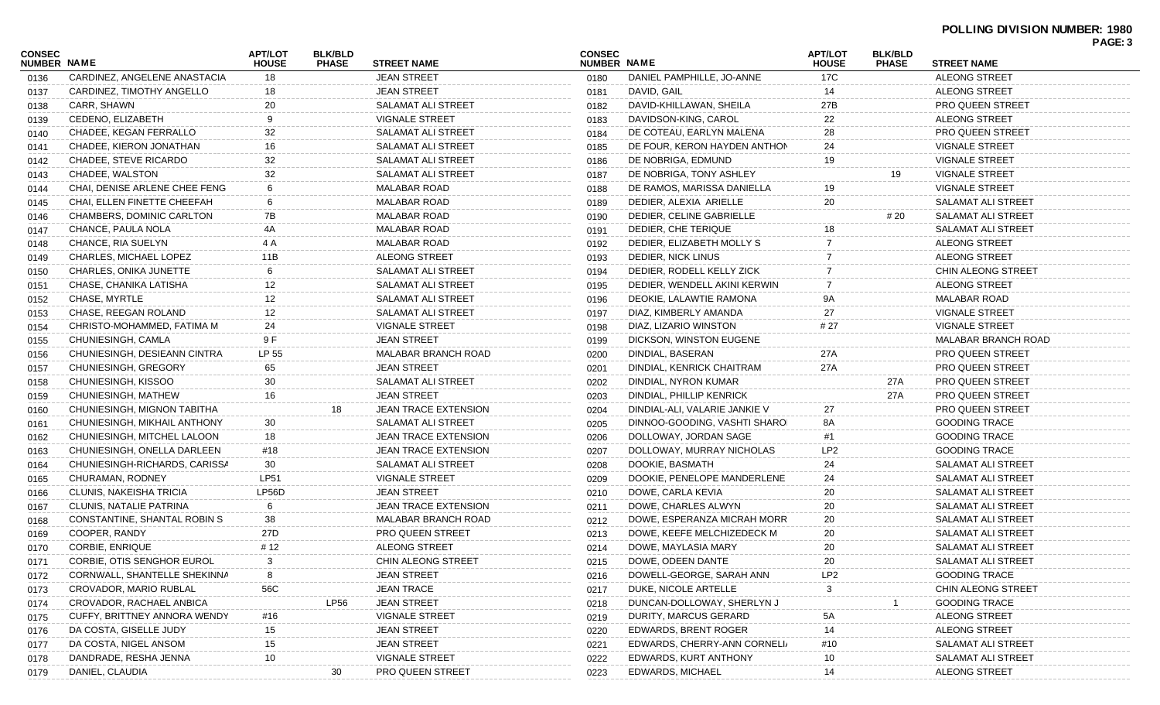|                                     |                               |                                |                                |                             |                              |                               |                                |                                |                            | PAGE: 3 |
|-------------------------------------|-------------------------------|--------------------------------|--------------------------------|-----------------------------|------------------------------|-------------------------------|--------------------------------|--------------------------------|----------------------------|---------|
| <b>CONSEC</b><br><b>NUMBER NAME</b> |                               | <b>APT/LOT</b><br><b>HOUSE</b> | <b>BLK/BLD</b><br><b>PHASE</b> | <b>STREET NAME</b>          | <b>CONSEC</b><br>NUMBER NAME |                               | <b>APT/LOT</b><br><b>HOUSE</b> | <b>BLK/BLD</b><br><b>PHASE</b> | <b>STREET NAME</b>         |         |
| 0136                                | CARDINEZ, ANGELENE ANASTACIA  | 18                             |                                | <b>JEAN STREET</b>          | 0180                         | DANIEL PAMPHILLE, JO-ANNE     | 17C                            |                                | <b>ALEONG STREET</b>       |         |
| 0137                                | CARDINEZ, TIMOTHY ANGELLO     | 18                             |                                | <b>JEAN STREET</b>          | 0181                         | DAVID, GAIL                   | 14                             |                                | <b>ALEONG STREET</b>       |         |
| 0138                                | CARR, SHAWN                   | 20                             |                                | <b>SALAMAT ALI STREET</b>   | 0182                         | DAVID-KHILLAWAN, SHEILA       | 27B                            |                                | <b>PRO QUEEN STREET</b>    |         |
| 0139                                | CEDENO, ELIZABETH             | 9                              |                                | <b>VIGNALE STREET</b>       | 0183                         | DAVIDSON-KING, CAROL          | 22                             |                                | <b>ALEONG STREET</b>       |         |
| 0140                                | CHADEE, KEGAN FERRALLO        | 32                             |                                | <b>SALAMAT ALI STREET</b>   | 0184                         | DE COTEAU, EARLYN MALENA      | 28                             |                                | <b>PRO QUEEN STREET</b>    |         |
| 0141                                | CHADEE, KIERON JONATHAN       | 16                             |                                | SALAMAT ALI STREET          | 0185                         | DE FOUR, KERON HAYDEN ANTHON  | 24                             |                                | <b>VIGNALE STREET</b>      |         |
| 0142                                | CHADEE, STEVE RICARDO         | 32                             |                                | <b>SALAMAT ALI STREET</b>   | 0186                         | DE NOBRIGA, EDMUND            | 19                             |                                | <b>VIGNALE STREET</b>      |         |
| 0143                                | CHADEE, WALSTON               | 32                             |                                | SALAMAT ALI STREET          | 0187                         | DE NOBRIGA, TONY ASHLEY       |                                | 19                             | <b>VIGNALE STREET</b>      |         |
| 0144                                | CHAI. DENISE ARLENE CHEE FENG | 6                              |                                | <b>MALABAR ROAD</b>         | 0188                         | DE RAMOS, MARISSA DANIELLA    | 19                             |                                | <b>VIGNALE STREET</b>      |         |
| 0145                                | CHAI, ELLEN FINETTE CHEEFAH   | 6                              |                                | <b>MALABAR ROAD</b>         | 0189                         | DEDIER, ALEXIA ARIELLE        | 20                             |                                | <b>SALAMAT ALI STREET</b>  |         |
| 0146                                | CHAMBERS, DOMINIC CARLTON     | 7B                             |                                | <b>MALABAR ROAD</b>         | 0190                         | DEDIER, CELINE GABRIELLE      |                                | # 20                           | <b>SALAMAT ALI STREET</b>  |         |
| 0147                                | CHANCE, PAULA NOLA            | 4A                             |                                | <b>MALABAR ROAD</b>         | 0191                         | DEDIER, CHE TERIQUE           | 18                             |                                | SALAMAT ALI STREET         |         |
| 0148                                | CHANCE, RIA SUELYN            | 4 A                            |                                | <b>MALABAR ROAD</b>         | 0192                         | DEDIER, ELIZABETH MOLLY S     |                                |                                | <b>ALEONG STREET</b>       |         |
| 0149                                | CHARLES, MICHAEL LOPEZ        | 11B                            |                                | <b>ALEONG STREET</b>        | 0193                         | DEDIER, NICK LINUS            |                                |                                | <b>ALEONG STREET</b>       |         |
| 0150                                | CHARLES, ONIKA JUNETTE        | 6                              |                                | <b>SALAMAT ALI STREET</b>   | 0194                         | DEDIER, RODELL KELLY ZICK     |                                |                                | CHIN ALEONG STREET         |         |
| 0151                                | CHASE, CHANIKA LATISHA        | 12                             |                                | <b>SALAMAT ALI STREET</b>   | 0195                         | DEDIER, WENDELL AKINI KERWIN  | 7                              |                                | <b>ALEONG STREET</b>       |         |
| 0152                                | CHASE, MYRTLE                 | 12                             |                                | <b>SALAMAT ALI STREET</b>   | 0196                         | DEOKIE, LALAWTIE RAMONA       | 9Α                             |                                | <b>MALABAR ROAD</b>        |         |
| 0153                                | CHASE, REEGAN ROLAND          | 12                             |                                | SALAMAT ALI STREET          | 0197                         | DIAZ, KIMBERLY AMANDA         | 27                             |                                | <b>VIGNALE STREET</b>      |         |
| 0154                                | CHRISTO-MOHAMMED, FATIMA M    | 24                             |                                | <b>VIGNALE STREET</b>       | 0198                         | DIAZ, LIZARIO WINSTON         | # 27                           |                                | <b>VIGNALE STREET</b>      |         |
| 0155                                | CHUNIESINGH, CAMLA            | 9 F                            |                                | <b>JEAN STREET</b>          | 0199                         | DICKSON, WINSTON EUGENE       |                                |                                | <b>MALABAR BRANCH ROAD</b> |         |
| 0156                                | CHUNIESINGH, DESIEANN CINTRA  | LP 55                          |                                | <b>MALABAR BRANCH ROAD</b>  | 0200                         | DINDIAL, BASERAN              | 27A                            |                                | <b>PRO QUEEN STREET</b>    |         |
| 0157                                | CHUNIESINGH, GREGORY          | 65                             |                                | <b>JEAN STREET</b>          | 0201                         | DINDIAL, KENRICK CHAITRAM     | 27A                            |                                | <b>PRO QUEEN STREET</b>    |         |
| 0158                                | CHUNIESINGH, KISSOO           | 30                             |                                | <b>SALAMAT ALI STREET</b>   | 0202                         | DINDIAL, NYRON KUMAR          |                                | 27A                            | <b>PRO QUEEN STREET</b>    |         |
| 0159                                | CHUNIESINGH, MATHEW           | 16                             |                                | <b>JEAN STREET</b>          | 0203                         | DINDIAL, PHILLIP KENRICK      |                                | 27A                            | <b>PRO QUEEN STREET</b>    |         |
| 0160                                | CHUNIESINGH, MIGNON TABITHA   |                                | 18                             | <b>JEAN TRACE EXTENSION</b> | 0204                         | DINDIAL-ALI, VALARIE JANKIE V | 27                             |                                | <b>PRO QUEEN STREET</b>    |         |
| 0161                                | CHUNIESINGH, MIKHAIL ANTHONY  | 30                             |                                | <b>SALAMAT ALI STREET</b>   | 0205                         | DINNOO-GOODING, VASHTI SHAROI | 8A                             |                                | <b>GOODING TRACE</b>       |         |
| 0162                                | CHUNIESINGH, MITCHEL LALOON   | 18                             |                                | <b>JEAN TRACE EXTENSION</b> | 0206                         | DOLLOWAY, JORDAN SAGE         | #1                             |                                | <b>GOODING TRACE</b>       |         |
| 0163                                | CHUNIESINGH, ONELLA DARLEEN   | #18                            |                                | <b>JEAN TRACE EXTENSION</b> | 0207                         | DOLLOWAY, MURRAY NICHOLAS     | LP <sub>2</sub>                |                                | <b>GOODING TRACE</b>       |         |
| 0164                                | CHUNIESINGH-RICHARDS, CARISSA | 30                             |                                | SALAMAT ALI STREET          | 0208                         | DOOKIE, BASMATH               | 24                             |                                | SALAMAT ALI STREET         |         |
| 0165                                | CHURAMAN, RODNEY              | <b>LP51</b>                    |                                | <b>VIGNALE STREET</b>       | 0209                         | DOOKIE, PENELOPE MANDERLENE   | 24                             |                                | <b>SALAMAT ALI STREET</b>  |         |
| 0166                                | CLUNIS, NAKEISHA TRICIA       | LP56D                          |                                | <b>JEAN STREET</b>          | 0210                         | DOWE, CARLA KEVIA             | 20                             |                                | <b>SALAMAT ALI STREET</b>  |         |
| 0167                                | CLUNIS, NATALIE PATRINA       | 6                              |                                | <b>JEAN TRACE EXTENSION</b> | 0211                         | DOWE, CHARLES ALWYN           | 20                             |                                | SALAMAT ALI STREET         |         |
| 0168                                | CONSTANTINE, SHANTAL ROBIN S  | 38                             |                                | <b>MALABAR BRANCH ROAD</b>  | 0212                         | DOWE, ESPERANZA MICRAH MORR   | 20                             |                                | SALAMAT ALI STREET         |         |
| 0169                                | COOPER, RANDY                 | 27D                            |                                | PRO QUEEN STREET            | 0213                         | DOWE, KEEFE MELCHIZEDECK M    | 20                             |                                | SALAMAT ALI STREET         |         |
| 0170                                | <b>CORBIE, ENRIQUE</b>        | # 12                           |                                | <b>ALEONG STREET</b>        | 0214                         | DOWE, MAYLASIA MARY           | 20                             |                                | SALAMAT ALI STREET         |         |
| 0171                                | CORBIE, OTIS SENGHOR EUROL    | 3                              |                                | CHIN ALEONG STREET          | 0215                         | DOWE, ODEEN DANTE             | 20                             |                                | SALAMAT ALI STREET         |         |
| 0172                                | CORNWALL, SHANTELLE SHEKINNA  |                                |                                | <b>JEAN STREET</b>          | 0216                         | DOWELL-GEORGE, SARAH ANN      | LP <sub>2</sub>                |                                | <b>GOODING TRACE</b>       |         |
| 0173                                | CROVADOR, MARIO RUBLAL        | 56C                            |                                | <b>JEAN TRACE</b>           | 0217                         | DUKE, NICOLE ARTELLE          | 3                              |                                | CHIN ALEONG STREET         |         |
| 0174                                | CROVADOR, RACHAEL ANBICA      |                                | LP <sub>56</sub>               | <b>JEAN STREET</b>          | 0218                         | DUNCAN-DOLLOWAY, SHERLYN J    |                                |                                | <b>GOODING TRACE</b>       |         |
| 0175                                | CUFFY, BRITTNEY ANNORA WENDY  | #16                            |                                | <b>VIGNALE STREET</b>       | 0219                         | DURITY, MARCUS GERARD         | 5A                             |                                | ALEONG STREET              |         |
| 0176                                | DA COSTA, GISELLE JUDY        | 15                             |                                | <b>JEAN STREET</b>          | 0220                         | <b>EDWARDS, BRENT ROGER</b>   | 14                             |                                | ALEONG STREET              |         |
| 0177                                | DA COSTA, NIGEL ANSOM         | 15                             |                                | <b>JEAN STREET</b>          | 0221                         | EDWARDS, CHERRY-ANN CORNELI/  | #10                            |                                | SALAMAT ALI STREET         |         |
| 0178                                | DANDRADE, RESHA JENNA         | 10                             |                                | <b>VIGNALE STREET</b>       | 0222                         | EDWARDS, KURT ANTHONY         | 10                             |                                | SALAMAT ALI STREET         |         |
| 0179                                | DANIEL, CLAUDIA               |                                | 30                             | PRO QUEEN STREET            | 0223                         | EDWARDS, MICHAEL              | 14                             |                                | ALEONG STREET              |         |
|                                     |                               |                                |                                |                             |                              |                               |                                |                                |                            |         |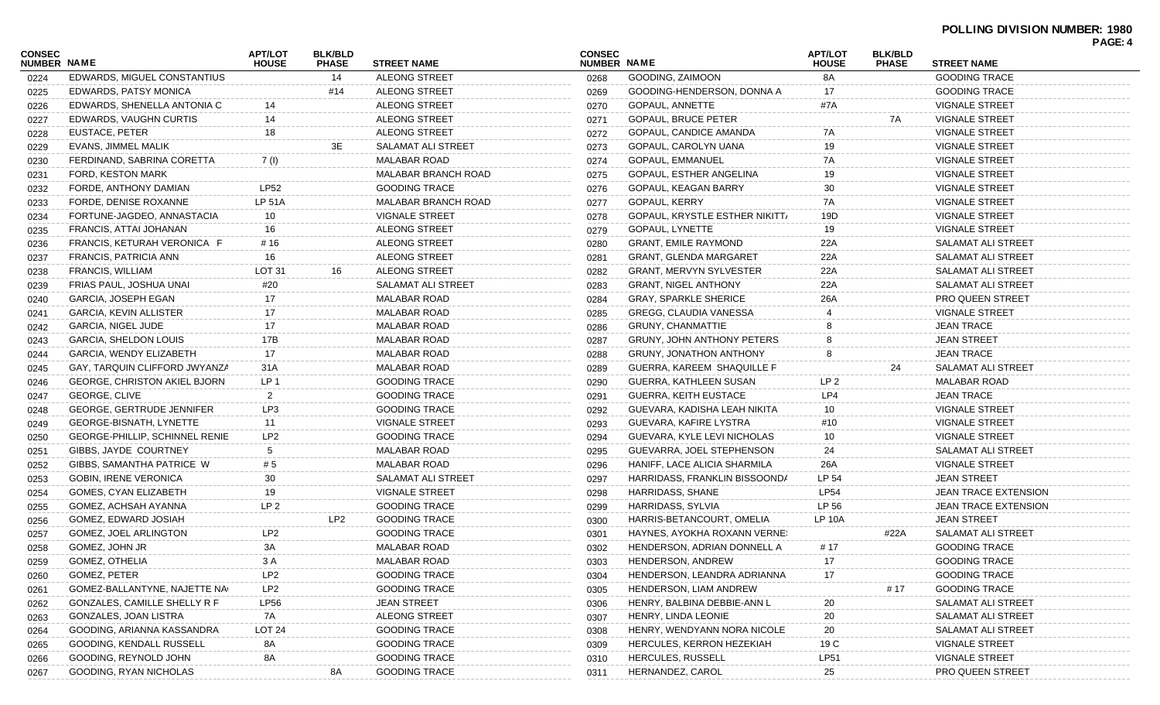|                              |                                       |                                |                                |                            |                              |                                       |                                |                                |                             | PAGE: 4 |
|------------------------------|---------------------------------------|--------------------------------|--------------------------------|----------------------------|------------------------------|---------------------------------------|--------------------------------|--------------------------------|-----------------------------|---------|
| <b>CONSEC</b><br>NUMBER NAME |                                       | <b>APT/LOT</b><br><b>HOUSE</b> | <b>BLK/BLD</b><br><b>PHASE</b> | <b>STREET NAME</b>         | <b>CONSEC</b><br>NUMBER NAME |                                       | <b>APT/LOT</b><br><b>HOUSE</b> | <b>BLK/BLD</b><br><b>PHASE</b> | <b>STREET NAME</b>          |         |
| 0224                         | EDWARDS, MIGUEL CONSTANTIUS           |                                | 14                             | <b>ALEONG STREET</b>       | 0268                         | GOODING, ZAIMOON                      | 8A                             |                                | <b>GOODING TRACE</b>        |         |
| 0225                         | <b>EDWARDS, PATSY MONICA</b>          |                                | #14                            | <b>ALEONG STREET</b>       | 0269                         | GOODING-HENDERSON, DONNA A            | 17                             |                                | <b>GOODING TRACE</b>        |         |
| 0226                         | EDWARDS, SHENELLA ANTONIA C           | 14                             |                                | <b>ALEONG STREET</b>       | 0270                         | GOPAUL, ANNETTE                       | #7A                            |                                | <b>VIGNALE STREET</b>       |         |
| 0227                         | EDWARDS, VAUGHN CURTIS                | 14                             |                                | ALEONG STREET              | 0271                         | <b>GOPAUL, BRUCE PETER</b>            |                                | 7A                             | <b>VIGNALE STREET</b>       |         |
| 0228                         | EUSTACE, PETER                        | 18                             |                                | <b>ALEONG STREET</b>       | 0272                         | GOPAUL, CANDICE AMANDA                | 7A                             |                                | <b>VIGNALE STREET</b>       |         |
| 0229                         | EVANS, JIMMEL MALIK                   |                                | 3E                             | <b>SALAMAT ALI STREET</b>  | 0273                         | GOPAUL, CAROLYN UANA                  | 19                             |                                | <b>VIGNALE STREET</b>       |         |
| 0230                         | FERDINAND, SABRINA CORETTA            | 7(1)                           |                                | <b>MALABAR ROAD</b>        | 0274                         | <b>GOPAUL, EMMANUEL</b>               | 7A                             |                                | <b>VIGNALE STREET</b>       |         |
| 0231                         | FORD, KESTON MARK                     |                                |                                | <b>MALABAR BRANCH ROAD</b> | 0275                         | GOPAUL, ESTHER ANGELINA               | 19                             |                                | <b>VIGNALE STREET</b>       |         |
| 0232                         | FORDE, ANTHONY DAMIAN                 | <b>LP52</b>                    |                                | <b>GOODING TRACE</b>       | 0276                         | GOPAUL, KEAGAN BARRY                  | 30                             |                                | <b>VIGNALE STREET</b>       |         |
| 0233                         | FORDE, DENISE ROXANNE                 | <b>LP 51A</b>                  |                                | <b>MALABAR BRANCH ROAD</b> | 0277                         | <b>GOPAUL, KERRY</b>                  | 7A                             |                                | <b>VIGNALE STREET</b>       |         |
| 0234                         | FORTUNE-JAGDEO, ANNASTACIA            | 10                             |                                | <b>VIGNALE STREET</b>      | 0278                         | <b>GOPAUL, KRYSTLE ESTHER NIKITT/</b> | 19D                            |                                | <b>VIGNALE STREET</b>       |         |
| 0235                         | FRANCIS, ATTAI JOHANAN                | 16                             |                                | <b>ALEONG STREET</b>       | 0279                         | GOPAUL, LYNETTE                       | 19                             |                                | <b>VIGNALE STREET</b>       |         |
| 0236                         | FRANCIS, KETURAH VERONICA F           | # 16                           |                                | ALEONG STREET              | 0280                         | <b>GRANT, EMILE RAYMOND</b>           | 22A                            |                                | SALAMAT ALI STREET          |         |
| 0237                         | FRANCIS, PATRICIA ANN                 | 16                             |                                | ALEONG STREET              | 0281                         | <b>GRANT, GLENDA MARGARET</b>         | 22A                            |                                | SALAMAT ALI STREET          |         |
| 0238                         | FRANCIS, WILLIAM                      | LOT 31                         | 16                             | <b>ALEONG STREET</b>       | 0282                         | <b>GRANT, MERVYN SYLVESTER</b>        | 22A                            |                                | SALAMAT ALI STREET          |         |
| 0239                         | FRIAS PAUL, JOSHUA UNAI               | #20                            |                                | <b>SALAMAT ALI STREET</b>  | 0283                         | <b>GRANT, NIGEL ANTHONY</b>           | 22A                            |                                | SALAMAT ALI STREET          |         |
| 0240                         | GARCIA, JOSEPH EGAN                   | 17                             |                                | <b>MALABAR ROAD</b>        | 0284                         | <b>GRAY, SPARKLE SHERICE</b>          | 26A                            |                                | <b>PRO QUEEN STREET</b>     |         |
| 0241                         | <b>GARCIA, KEVIN ALLISTER</b>         | 17                             |                                | <b>MALABAR ROAD</b>        | 0285                         | GREGG, CLAUDIA VANESSA                |                                |                                | <b>VIGNALE STREET</b>       |         |
| 0242                         | <b>GARCIA, NIGEL JUDE</b>             | 17                             |                                | <b>MALABAR ROAD</b>        | 0286                         | <b>GRUNY, CHANMATTIE</b>              |                                |                                | <b>JEAN TRACE</b>           |         |
| 0243                         | <b>GARCIA, SHELDON LOUIS</b>          | 17B                            |                                | <b>MALABAR ROAD</b>        | 0287                         | <b>GRUNY, JOHN ANTHONY PETERS</b>     |                                |                                | <b>JEAN STREET</b>          |         |
| 0244                         | GARCIA, WENDY ELIZABETH               | 17                             |                                | <b>MALABAR ROAD</b>        | 0288                         | <b>GRUNY, JONATHON ANTHONY</b>        |                                |                                | <b>JEAN TRACE</b>           |         |
| 0245                         | GAY, TARQUIN CLIFFORD JWYANZA         | 31A                            |                                | <b>MALABAR ROAD</b>        | 0289                         | GUERRA, KAREEM SHAQUILLE F            |                                | 24                             | <b>SALAMAT ALI STREET</b>   |         |
| 0246                         | <b>GEORGE, CHRISTON AKIEL BJORN</b>   | LP <sub>1</sub>                |                                | GOODING TRACE              | 0290                         | GUERRA, KATHLEEN SUSAN                | LP <sub>2</sub>                |                                | <b>MALABAR ROAD</b>         |         |
| 0247                         | GEORGE, CLIVE                         | $\overline{2}$                 |                                | <b>GOODING TRACE</b>       | 0291                         | <b>GUERRA, KEITH EUSTACE</b>          | LP4                            |                                | <b>JEAN TRACE</b>           |         |
| 0248                         | <b>GEORGE, GERTRUDE JENNIFER</b>      | LP3                            |                                | <b>GOODING TRACE</b>       | 0292                         | GUEVARA, KADISHA LEAH NIKITA          | 10                             |                                | <b>VIGNALE STREET</b>       |         |
| 0249                         | GEORGE-BISNATH, LYNETTE               | 11                             |                                | <b>VIGNALE STREET</b>      | 0293                         | GUEVARA, KAFIRE LYSTRA                | #10                            |                                | <b>VIGNALE STREET</b>       |         |
| 0250                         | <b>GEORGE-PHILLIP, SCHINNEL RENIE</b> | LP <sub>2</sub>                |                                | <b>GOODING TRACE</b>       | 0294                         | GUEVARA, KYLE LEVI NICHOLAS           | 10                             |                                | <b>VIGNALE STREET</b>       |         |
| 0251                         | GIBBS, JAYDE COURTNEY                 | 5                              |                                | <b>MALABAR ROAD</b>        | 0295                         | GUEVARRA, JOEL STEPHENSON             | 24                             |                                | SALAMAT ALI STREET          |         |
| 0252                         | GIBBS, SAMANTHA PATRICE W             | # 5                            |                                | <b>MALABAR ROAD</b>        | 0296                         | HANIFF, LACE ALICIA SHARMILA          | 26A                            |                                | <b>VIGNALE STREET</b>       |         |
| 0253                         | <b>GOBIN, IRENE VERONICA</b>          | 30                             |                                | SALAMAT ALI STREET         | 0297                         | HARRIDASS, FRANKLIN BISSOONDA         | LP 54                          |                                | <b>JEAN STREET</b>          |         |
| 0254                         | <b>GOMES. CYAN ELIZABETH</b>          | 19                             |                                | <b>VIGNALE STREET</b>      | 0298                         | HARRIDASS, SHANE                      | <b>LP54</b>                    |                                | JEAN TRACE EXTENSION        |         |
| 0255                         | GOMEZ. ACHSAH AYANNA                  | LP <sub>2</sub>                |                                | <b>GOODING TRACE</b>       | 0299                         | HARRIDASS, SYLVIA                     | LP 56                          |                                | <b>JEAN TRACE EXTENSION</b> |         |
| 0256                         | GOMEZ, EDWARD JOSIAH                  |                                | LP <sub>2</sub>                | <b>GOODING TRACE</b>       | 0300                         | HARRIS-BETANCOURT, OMELIA             | <b>LP 10A</b>                  |                                | <b>JEAN STREET</b>          |         |
| 0257                         | <b>GOMEZ, JOEL ARLINGTON</b>          | LP <sub>2</sub>                |                                | <b>GOODING TRACE</b>       | 0301                         | HAYNES, AYOKHA ROXANN VERNE!          |                                | #22A                           | SALAMAT ALI STREET          |         |
|                              | GOMEZ, JOHN JR                        | 3A                             |                                | <b>MALABAR ROAD</b>        |                              | HENDERSON, ADRIAN DONNELL A           | # 17                           |                                | <b>GOODING TRACE</b>        |         |
| 0258                         | <b>GOMEZ, OTHELIA</b>                 | 3 A                            |                                | <b>MALABAR ROAD</b>        | 0302                         | HENDERSON, ANDREW                     | 17                             |                                | <b>GOODING TRACE</b>        |         |
| 0259                         | GOMEZ, PETER                          | LP <sub>2</sub>                |                                | <b>GOODING TRACE</b>       | 0303                         |                                       | 17                             |                                | <b>GOODING TRACE</b>        |         |
| 0260                         |                                       |                                |                                |                            | 0304                         | HENDERSON, LEANDRA ADRIANNA           |                                |                                |                             |         |
| 0261                         | GOMEZ-BALLANTYNE, NAJETTE NA          | LP <sub>2</sub>                |                                | <b>GOODING TRACE</b>       | 0305                         | HENDERSON, LIAM ANDREW                |                                | # 17                           | <b>GOODING TRACE</b>        |         |
| 0262                         | GONZALES, CAMILLE SHELLY R F          | LP56                           |                                | <b>JEAN STREET</b>         | 0306                         | HENRY, BALBINA DEBBIE-ANN L           | 20                             |                                | SALAMAT ALI STREET          |         |
| 0263                         | GONZALES, JOAN LISTRA                 | 7A                             |                                | ALEONG STREET              | 0307                         | HENRY, LINDA LEONIE                   | $20\,$                         |                                | SALAMAT ALI STREET          |         |
| 0264                         | GOODING, ARIANNA KASSANDRA            | LOT <sub>24</sub>              |                                | <b>GOODING TRACE</b>       | 0308                         | HENRY, WENDYANN NORA NICOLE           | $20\,$                         |                                | SALAMAT ALI STREET          |         |
| 0265                         | GOODING, KENDALL RUSSELL              | 8A                             |                                | <b>GOODING TRACE</b>       | 0309                         | HERCULES, KERRON HEZEKIAH             | 19 C                           |                                | <b>VIGNALE STREET</b>       |         |
| 0266                         | GOODING, REYNOLD JOHN                 | 8A                             |                                | <b>GOODING TRACE</b>       | 0310                         | <b>HERCULES, RUSSELL</b>              | <b>LP51</b>                    |                                | <b>VIGNALE STREET</b>       |         |
| 0267                         | GOODING, RYAN NICHOLAS                |                                | 8A                             | <b>GOODING TRACE</b>       | 0311                         | HERNANDEZ, CAROL                      | 25                             |                                | PRO QUEEN STREET            |         |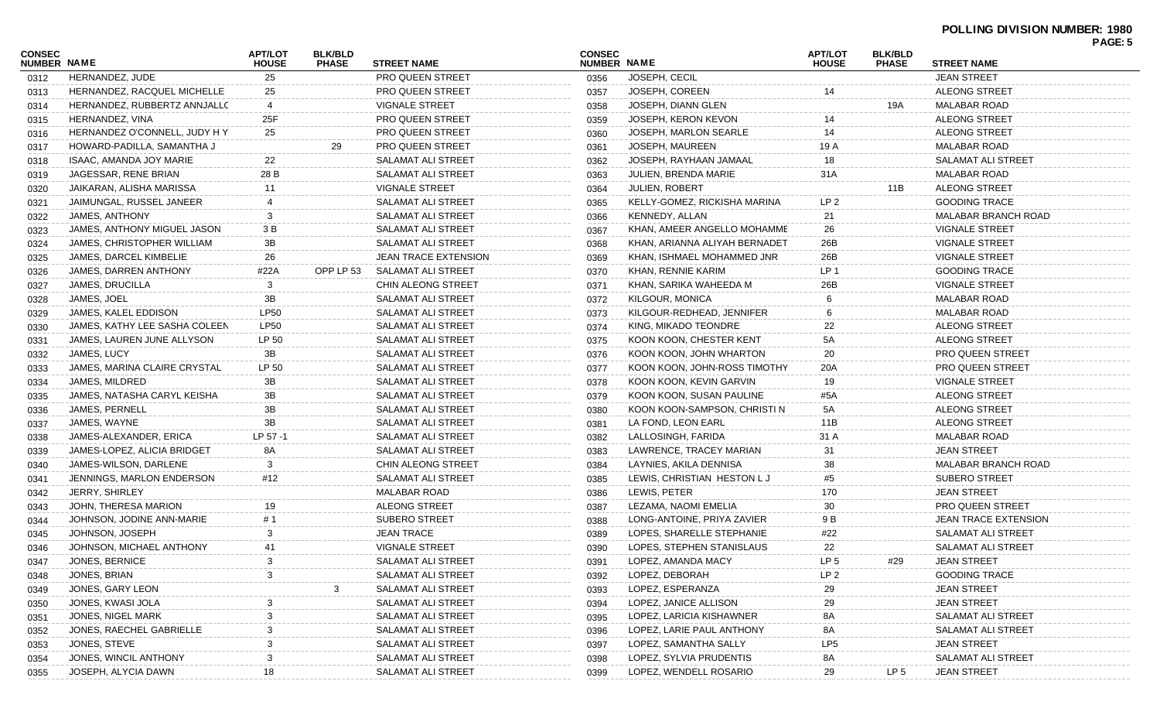## **POLLING DIVISION NUMBER: 1980**

|                              |                               |                                |                                |                             |                              |                               |                                |                                |                                | <b>FAUL.</b> |
|------------------------------|-------------------------------|--------------------------------|--------------------------------|-----------------------------|------------------------------|-------------------------------|--------------------------------|--------------------------------|--------------------------------|--------------|
| CONSEC<br><b>NUMBER NAME</b> |                               | <b>APT/LOT</b><br><b>HOUSE</b> | <b>BLK/BLD</b><br><b>PHASE</b> | <b>STREET NAME</b>          | <b>CONSEC</b><br>NUMBER NAME |                               | <b>APT/LOT</b><br><b>HOUSE</b> | <b>BLK/BLD</b><br><b>PHASE</b> | <b>STREET NAME</b>             |              |
| 0312                         | HERNANDEZ, JUDE               | 25                             |                                | <b>PRO QUEEN STREET</b>     | 0356                         | JOSEPH, CECIL                 |                                |                                | <b>JEAN STREET</b>             |              |
| 0313                         | HERNANDEZ, RACQUEL MICHELLE   | 25                             |                                | <b>PRO QUEEN STREET</b>     | 0357                         | JOSEPH, COREEN                |                                |                                | ALEONG STREET                  |              |
| 0314                         | HERNANDEZ, RUBBERTZ ANNJALLC  | 4                              |                                | <b>VIGNALE STREET</b>       | 0358                         | JOSEPH, DIANN GLEN            |                                | 19A                            | MALABAR ROAD                   |              |
| 0315                         | HERNANDEZ, VINA               | 25F                            |                                | PRO QUEEN STREET            | 0359                         | JOSEPH, KERON KEVON           |                                |                                | ALEONG STREET                  |              |
| 0316                         | HERNANDEZ O'CONNELL, JUDY H Y | 25                             |                                | PRO QUEEN STREET            | 0360                         | JOSEPH, MARLON SEARLE         | 14                             |                                | ALEONG STREET                  |              |
| 0317                         | HOWARD-PADILLA, SAMANTHA J    |                                | 29                             | <b>PRO QUEEN STREET</b>     | 0361                         | JOSEPH, MAUREEN               | 19 A                           |                                | MALABAR ROAD                   |              |
| 0318                         | ISAAC, AMANDA JOY MARIE       | 22                             |                                | SALAMAT ALI STREET          | 0362                         | JOSEPH, RAYHAAN JAMAAL        | 18                             |                                | SALAMAT ALI STREET             |              |
| 0319                         | JAGESSAR, RENE BRIAN          | 28 B                           |                                | SALAMAT ALI STREET          | 0363                         | JULIEN, BRENDA MARIE          | 31 A                           |                                | MALABAR ROAD                   |              |
| 0320                         | JAIKARAN, ALISHA MARISSA      | 11                             |                                | <b>VIGNALE STREET</b>       | 0364                         | <b>JULIEN, ROBERT</b>         |                                | 11B                            | ALEONG STREET                  |              |
| 0321                         | JAIMUNGAL, RUSSEL JANEER      |                                |                                | <b>SALAMAT ALI STREET</b>   | 0365                         | KELLY-GOMEZ, RICKISHA MARINA  | LP 2                           |                                | <b>GOODING TRACE</b>           |              |
| 0322                         | JAMES, ANTHONY                |                                |                                | SALAMAT ALI STREET          | 0366                         | KENNEDY, ALLAN                | 21                             |                                | MALABAR BRANCH ROAD            |              |
| 0323                         | JAMES, ANTHONY MIGUEL JASON   | 3 B                            |                                | SALAMAT ALI STREET          | 0367                         | KHAN, AMEER ANGELLO MOHAMME   | 26                             |                                | VIGNALE STREET                 |              |
| 0324                         | JAMES, CHRISTOPHER WILLIAM    | 3B                             |                                | SALAMAT ALI STREET          | 0368                         | KHAN, ARIANNA ALIYAH BERNADET | 26B                            |                                | <b>VIGNALE STREET</b>          |              |
| 0325                         | JAMES, DARCEL KIMBELIE        | 26                             |                                | <b>JEAN TRACE EXTENSION</b> | 0369                         | KHAN, ISHMAEL MOHAMMED JNR    | 26B                            |                                | VIGNALE STREET                 |              |
| 0326                         | JAMES, DARREN ANTHONY         | #22A                           | OPP LP 53                      | SALAMAT ALI STREET          | 0370                         | KHAN, RENNIE KARIM            | LP 1                           |                                | <b>GOODING TRACE</b>           |              |
| 0327                         | JAMES, DRUCILLA               | 3                              |                                | CHIN ALEONG STREET          | 0371                         | KHAN, SARIKA WAHEEDA M        | 26B                            |                                | VIGNALE STREET                 |              |
| 0328                         | JAMES, JOEL                   | 3B                             |                                | SALAMAT ALI STREET          | 0372                         | KILGOUR, MONICA               |                                |                                | MALABAR ROAD                   |              |
| 0329                         | JAMES, KALEL EDDISON          | LP50                           |                                | SALAMAT ALI STREET          | 0373                         | KILGOUR-REDHEAD, JENNIFER     |                                |                                | MALABAR ROAD                   |              |
| 0330                         | JAMES, KATHY LEE SASHA COLEEN | <b>LP50</b>                    |                                | SALAMAT ALI STREET          | 0374                         | KING, MIKADO TEONDRE          | 22                             |                                | ALEONG STREET                  |              |
| 0331                         | JAMES, LAUREN JUNE ALLYSON    | LP 50                          |                                | SALAMAT ALI STREET          | 0375                         | KOON KOON, CHESTER KENT       | 5Α                             |                                | ALEONG STREET                  |              |
| 0332                         | JAMES, LUCY                   | 3B                             |                                | SALAMAT ALI STREET          | 0376                         | KOON KOON, JOHN WHARTON       | 20                             |                                | PRO QUEEN STREET               |              |
| 0333                         | JAMES, MARINA CLAIRE CRYSTAL  | LP 50                          |                                | SALAMAT ALI STREET          | 0377                         | KOON KOON, JOHN-ROSS TIMOTHY  | 20A                            |                                | PRO QUEEN STREET               |              |
| 0334                         | JAMES, MILDRED                | 3B                             |                                | SALAMAT ALI STREET          | 0378                         | KOON KOON, KEVIN GARVIN       | 19                             |                                | <b>VIGNALE STREET</b>          |              |
| 0335                         | JAMES, NATASHA CARYL KEISHA   | 3B                             |                                | SALAMAT ALI STREET          | 0379                         | KOON KOON, SUSAN PAULINE      | #5A                            |                                | ALEONG STREET                  |              |
| 0336                         | JAMES, PERNELL                | 3B                             |                                | SALAMAT ALI STREET          | 0380                         | KOON KOON-SAMPSON, CHRISTI N  | 5А                             |                                | ALEONG STREET                  |              |
| 0337                         | JAMES, WAYNE                  | 3B                             |                                | SALAMAT ALI STREET          | 0381                         | LA FOND, LEON EARL            | 11B                            |                                | ALEONG STREET                  |              |
| 0338                         | JAMES-ALEXANDER, ERICA        | LP 57-1                        |                                | SALAMAT ALI STREET          | 0382                         | LALLOSINGH, FARIDA            | 31 A                           |                                | MALABAR ROAD                   |              |
| 0339                         | JAMES-LOPEZ, ALICIA BRIDGET   | 8Α                             |                                | SALAMAT ALI STREET          | 0383                         | LAWRENCE, TRACEY MARIAN       | 31                             |                                | JEAN STREET                    |              |
| 0340                         | JAMES-WILSON, DARLENE         | З                              |                                | CHIN ALEONG STREET          | 0384                         | LAYNIES, AKILA DENNISA        |                                |                                | MALABAR BRANCH ROAD            |              |
| 0341                         | JENNINGS, MARLON ENDERSON     | #12                            |                                | SALAMAT ALI STREET          | 0385                         | LEWIS, CHRISTIAN HESTON LJ    | #5                             |                                | SUBERO STREET                  |              |
| 0342                         | JERRY, SHIRLEY                |                                |                                | <b>MALABAR ROAD</b>         | 0386                         | LEWIS, PETER                  | 170                            |                                | <b>JEAN STREET</b>             |              |
|                              | JOHN, THERESA MARION          | 19                             |                                | ALEONG STREET               | 0387                         | LEZAMA, NAOMI EMELIA          | 30                             |                                | PRO QUEEN STREET               |              |
| 0343                         | JOHNSON, JODINE ANN-MARIE     | # 1                            |                                | <b>SUBERO STREET</b>        | 0388                         | LONG-ANTOINE, PRIYA ZAVIER    | 9 B                            |                                | JEAN TRACE EXTENSION           |              |
| 0344                         | JOHNSON, JOSEPH               |                                |                                | <b>JEAN TRACE</b>           |                              | LOPES, SHARELLE STEPHANIE     | #22                            |                                | SALAMAT ALI STREET             |              |
| 0345                         | JOHNSON, MICHAEL ANTHONY      | 41                             |                                | <b>VIGNALE STREET</b>       | 0389                         | LOPES, STEPHEN STANISLAUS     | 22                             |                                | SALAMAT ALI STREET             |              |
| 0346                         | JONES, BERNICE                |                                |                                | SALAMAT ALI STREET          | 0390                         | LOPEZ, AMANDA MACY            | LP <sub>5</sub>                |                                | <b>JEAN STREET</b>             |              |
| 0347                         |                               |                                |                                |                             | 0391                         |                               |                                | #29                            |                                |              |
| 0348                         | JONES, BRIAN                  |                                |                                | SALAMAT ALI STREET          | 0392                         | LOPEZ, DEBORAH                | LP <sub>2</sub>                |                                | <b>GOODING TRACE</b>           |              |
| 0349                         | JONES, GARY LEON              |                                |                                | SALAMAT ALI STREET          | 0393                         | LOPEZ, ESPERANZA              | 29                             |                                | <b>JEAN STREET</b>             |              |
| 0350                         | JONES, KWASI JOLA             |                                |                                | SALAMAT ALI STREET          | 0394                         | LOPEZ, JANICE ALLISON         |                                |                                | <b>JEAN STREET</b>             |              |
| 0351                         | JONES, NIGEL MARK             |                                |                                | SALAMAT ALI STREET          | 0395                         | LOPEZ, LARICIA KISHAWNER      |                                |                                | SALAMAT ALI STREE <sup>-</sup> |              |
| 0352                         | JONES, RAECHEL GABRIELLE      |                                |                                | SALAMAT ALI STREET          | 0396                         | LOPEZ, LARIE PAUL ANTHONY     |                                |                                | <b>SALAMAT ALI STREET</b>      |              |
| 0353                         | JONES, STEVE                  |                                |                                | SALAMAT ALI STREET          | 0397                         | LOPEZ, SAMANTHA SALLY         | LP5                            |                                | JEAN STREET                    |              |
| 0354                         | JONES, WINCIL ANTHONY         |                                |                                | SALAMAT ALI STREET          | 0398                         | LOPEZ, SYLVIA PRUDENTIS       | 8A                             |                                | SALAMAT ALI STREET             |              |
| 0355                         | JOSEPH, ALYCIA DAWN           | 18                             |                                | SALAMAT ALI STREET          | 0399                         | LOPEZ, WENDELL ROSARIO        | 29                             | LP <sub>5</sub>                | <b>JEAN STREET</b>             |              |

**PAGE: 5**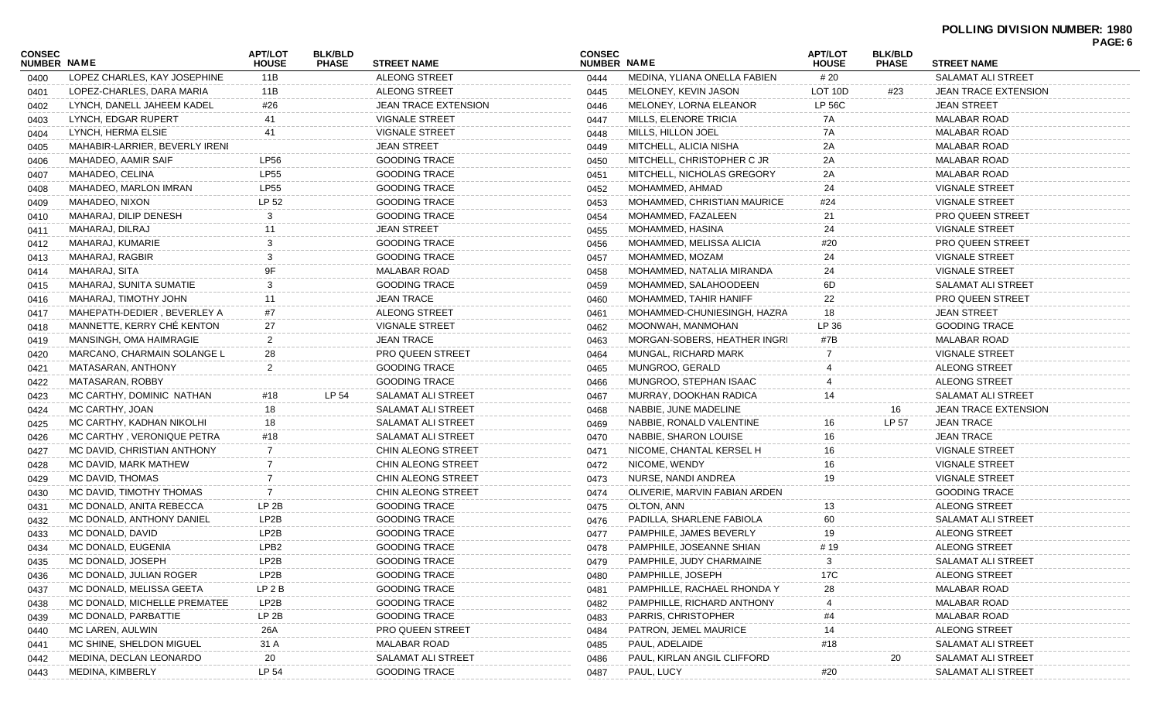|                              |                                |                                |                                |                             |                              |                               |                                |                                |                             | PAGE: 6 |
|------------------------------|--------------------------------|--------------------------------|--------------------------------|-----------------------------|------------------------------|-------------------------------|--------------------------------|--------------------------------|-----------------------------|---------|
| <b>CONSEC</b><br>NUMBER NAME |                                | <b>APT/LOT</b><br><b>HOUSE</b> | <b>BLK/BLD</b><br><b>PHASE</b> | <b>STREET NAME</b>          | <b>CONSEC</b><br>NUMBER NAME |                               | <b>APT/LOT</b><br><b>HOUSE</b> | <b>BLK/BLD</b><br><b>PHASE</b> | <b>STREET NAME</b>          |         |
| 0400                         | LOPEZ CHARLES, KAY JOSEPHINE   | 11B                            |                                | <b>ALEONG STREET</b>        | 0444                         | MEDINA, YLIANA ONELLA FABIEN  | # 20                           |                                | SALAMAT ALI STREET          |         |
| 0401                         | LOPEZ-CHARLES, DARA MARIA      | 11B                            |                                | <b>ALEONG STREET</b>        | 0445                         | MELONEY, KEVIN JASON          | LOT 10D                        | #23                            | <b>JEAN TRACE EXTENSION</b> |         |
| 0402                         | LYNCH. DANELL JAHEEM KADEL     | #26                            |                                | <b>JEAN TRACE EXTENSION</b> | 0446                         | MELONEY, LORNA ELEANOR        | LP 56C                         |                                | <b>JEAN STREET</b>          |         |
| 0403                         | LYNCH, EDGAR RUPERT            | 41                             |                                | <b>VIGNALE STREET</b>       | 0447                         | MILLS, ELENORE TRICIA         | 7A                             |                                | <b>MALABAR ROAD</b>         |         |
| 0404                         | LYNCH, HERMA ELSIE             | 41                             |                                | <b>VIGNALE STREET</b>       | 0448                         | MILLS, HILLON JOEL            | 7A                             |                                | MALABAR ROAD                |         |
| 0405                         | MAHABIR-LARRIER, BEVERLY IRENI |                                |                                | <b>JEAN STREET</b>          | 0449                         | MITCHELL, ALICIA NISHA        | 2A                             |                                | MALABAR ROAD                |         |
| 0406                         | MAHADEO, AAMIR SAIF            | <b>LP56</b>                    |                                | <b>GOODING TRACE</b>        | 0450                         | MITCHELL, CHRISTOPHER C JR    | 2A                             |                                | <b>MALABAR ROAD</b>         |         |
| 0407                         | MAHADEO, CELINA                | <b>LP55</b>                    |                                | <b>GOODING TRACE</b>        | 0451                         | MITCHELL, NICHOLAS GREGORY    | 2Α                             |                                | <b>MALABAR ROAD</b>         |         |
| 0408                         | MAHADEO, MARLON IMRAN          | <b>LP55</b>                    |                                | <b>GOODING TRACE</b>        | 0452                         | MOHAMMED, AHMAD               | 24                             |                                | <b>VIGNALE STREET</b>       |         |
| 0409                         | MAHADEO, NIXON                 | LP 52                          |                                | <b>GOODING TRACE</b>        | 0453                         | MOHAMMED, CHRISTIAN MAURICE   | #24                            |                                | <b>VIGNALE STREET</b>       |         |
| 0410                         | MAHARAJ, DILIP DENESH          | 3                              |                                | <b>GOODING TRACE</b>        | 0454                         | MOHAMMED, FAZALEEN            | 21                             |                                | <b>PRO QUEEN STREET</b>     |         |
| 0411                         | MAHARAJ, DILRAJ                | 11                             |                                | <b>JEAN STREET</b>          | 0455                         | MOHAMMED, HASINA              | 24                             |                                | <b>VIGNALE STREET</b>       |         |
| 0412                         | MAHARAJ, KUMARIE               |                                |                                | <b>GOODING TRACE</b>        | 0456                         | MOHAMMED, MELISSA ALICIA      | #20                            |                                | <b>PRO QUEEN STREET</b>     |         |
| 0413                         | MAHARAJ, RAGBIR                |                                |                                | <b>GOODING TRACE</b>        | 0457                         | MOHAMMED, MOZAM               | 24                             |                                | <b>VIGNALE STREET</b>       |         |
| 0414                         | MAHARAJ, SITA                  |                                |                                | <b>MALABAR ROAD</b>         | 0458                         | MOHAMMED, NATALIA MIRANDA     | 24                             |                                | <b>VIGNALE STREET</b>       |         |
| 0415                         | MAHARAJ, SUNITA SUMATIE        |                                |                                | <b>GOODING TRACE</b>        | 0459                         | MOHAMMED, SALAHOODEEN         | 6D                             |                                | SALAMAT ALI STREET          |         |
| 0416                         | MAHARAJ, TIMOTHY JOHN          | 11                             |                                | <b>JEAN TRACE</b>           | 0460                         | MOHAMMED, TAHIR HANIFF        | 22                             |                                | <b>PRO QUEEN STREET</b>     |         |
| 0417                         | MAHEPATH-DEDIER, BEVERLEY A    | #7                             |                                | <b>ALEONG STREET</b>        | 0461                         | MOHAMMED-CHUNIESINGH, HAZRA   | 18                             |                                | <b>JEAN STREET</b>          |         |
| 0418                         | MANNETTE, KERRY CHÉ KENTON     | 27                             |                                | <b>VIGNALE STREET</b>       | 0462                         | MOONWAH, MANMOHAN             | LP 36                          |                                | <b>GOODING TRACE</b>        |         |
| 0419                         | MANSINGH, OMA HAIMRAGIE        | $\overline{2}$                 |                                | <b>JEAN TRACE</b>           | 0463                         | MORGAN-SOBERS, HEATHER INGRI  | #7B                            |                                | MALABAR ROAD                |         |
| 0420                         | MARCANO, CHARMAIN SOLANGE L    | 28                             |                                | <b>PRO QUEEN STREET</b>     | 0464                         | MUNGAL, RICHARD MARK          |                                |                                | <b>VIGNALE STREET</b>       |         |
| 0421                         | MATASARAN, ANTHONY             | $\overline{2}$                 |                                | <b>GOODING TRACE</b>        | 0465                         | MUNGROO, GERALD               |                                |                                | ALEONG STREET               |         |
| 0422                         | MATASARAN, ROBBY               |                                |                                | <b>GOODING TRACE</b>        | 0466                         | MUNGROO, STEPHAN ISAAC        |                                |                                | ALEONG STREET               |         |
| 0423                         | MC CARTHY, DOMINIC NATHAN      | #18                            | LP 54                          | SALAMAT ALI STREET          | 0467                         | MURRAY, DOOKHAN RADICA        | 14                             |                                | SALAMAT ALI STREET          |         |
| 0424                         | MC CARTHY, JOAN                | 18                             |                                | SALAMAT ALI STREET          | 0468                         | NABBIE, JUNE MADELINE         |                                | 16                             | JEAN TRACE EXTENSION        |         |
| 0425                         | MC CARTHY, KADHAN NIKOLHI      | 18                             |                                | SALAMAT ALI STREET          | 0469                         | NABBIE, RONALD VALENTINE      | 16                             | LP 57                          | <b>JEAN TRACE</b>           |         |
| 0426                         | MC CARTHY, VERONIQUE PETRA     | #18                            |                                | SALAMAT ALI STREET          | 0470                         | NABBIE, SHARON LOUISE         | 16                             |                                | <b>JEAN TRACE</b>           |         |
| 0427                         | MC DAVID, CHRISTIAN ANTHONY    | $\overline{7}$                 |                                | <b>CHIN ALEONG STREET</b>   | 0471                         | NICOME, CHANTAL KERSEL H      | 16                             |                                | <b>VIGNALE STREET</b>       |         |
| 0428                         | MC DAVID, MARK MATHEW          |                                |                                | <b>CHIN ALEONG STREET</b>   | 0472                         | NICOME, WENDY                 | 16                             |                                | <b>VIGNALE STREET</b>       |         |
| 0429                         | MC DAVID, THOMAS               |                                |                                | <b>CHIN ALEONG STREET</b>   | 0473                         | NURSE, NANDI ANDREA           | 19                             |                                | <b>VIGNALE STREET</b>       |         |
| 0430                         | MC DAVID, TIMOTHY THOMAS       | 7                              |                                | CHIN ALEONG STREET          | 0474                         | OLIVERIE, MARVIN FABIAN ARDEN |                                |                                | <b>GOODING TRACE</b>        |         |
| 0431                         | MC DONALD, ANITA REBECCA       | LP <sub>2B</sub>               |                                | <b>GOODING TRACE</b>        | 0475                         | OLTON, ANN                    | 13                             |                                | ALEONG STREET               |         |
| 0432                         | MC DONALD, ANTHONY DANIEL      | LP2B                           |                                | <b>GOODING TRACE</b>        | 0476                         | PADILLA, SHARLENE FABIOLA     | 60                             |                                | SALAMAT ALI STREET          |         |
| 0433                         | MC DONALD, DAVID               | LP2B                           |                                | <b>GOODING TRACE</b>        | 0477                         | PAMPHILE, JAMES BEVERLY       | 19                             |                                | ALEONG STREET               |         |
| 0434                         | MC DONALD, EUGENIA             | LPB <sub>2</sub>               |                                | <b>GOODING TRACE</b>        | 0478                         | PAMPHILE, JOSEANNE SHIAN      | # 19                           |                                | ALEONG STREET               |         |
| 0435                         | MC DONALD, JOSEPH              | LP2B                           |                                | <b>GOODING TRACE</b>        | 0479                         | PAMPHILE, JUDY CHARMAINE      | 3                              |                                | SALAMAT ALI STREET          |         |
| 0436                         | MC DONALD, JULIAN ROGER        | LP2B                           |                                | <b>GOODING TRACE</b>        | 0480                         | PAMPHILLE, JOSEPH             | 17C                            |                                | ALEONG STREET               |         |
| 0437                         | MC DONALD, MELISSA GEETA       | LP <sub>2B</sub>               |                                | <b>GOODING TRACE</b>        | 0481                         | PAMPHILLE, RACHAEL RHONDA Y   | 28                             |                                | <b>MALABAR ROAD</b>         |         |
| 0438                         | MC DONALD, MICHELLE PREMATEE   | LP2B                           |                                | <b>GOODING TRACE</b>        | 0482                         | PAMPHILLE, RICHARD ANTHONY    | 4                              |                                | <b>MALABAR ROAD</b>         |         |
| 0439                         | MC DONALD, PARBATTIE           | LP 2B                          |                                | <b>GOODING TRACE</b>        | 0483                         | PARRIS, CHRISTOPHER           | #4                             |                                | MALABAR ROAD                |         |
| 0440                         | MC LAREN, AULWIN               | 26A                            |                                | PRO QUEEN STREET            | 0484                         | PATRON, JEMEL MAURICE         | 14                             |                                | <b>ALEONG STREET</b>        |         |
| 0441                         | MC SHINE, SHELDON MIGUEL       | 31 A                           |                                | <b>MALABAR ROAD</b>         | 0485                         | PAUL, ADELAIDE                | #18                            |                                | SALAMAT ALI STREET          |         |
| 0442                         | MEDINA, DECLAN LEONARDO        | 20                             |                                | SALAMAT ALI STREET          | 0486                         | PAUL, KIRLAN ANGIL CLIFFORD   |                                | 20                             | SALAMAT ALI STREET          |         |
| 0443                         | MEDINA, KIMBERLY               | LP 54                          |                                | <b>GOODING TRACE</b>        | 0487                         | PAUL, LUCY                    | #20                            |                                | SALAMAT ALI STREET          |         |
|                              |                                |                                |                                |                             |                              |                               |                                |                                |                             |         |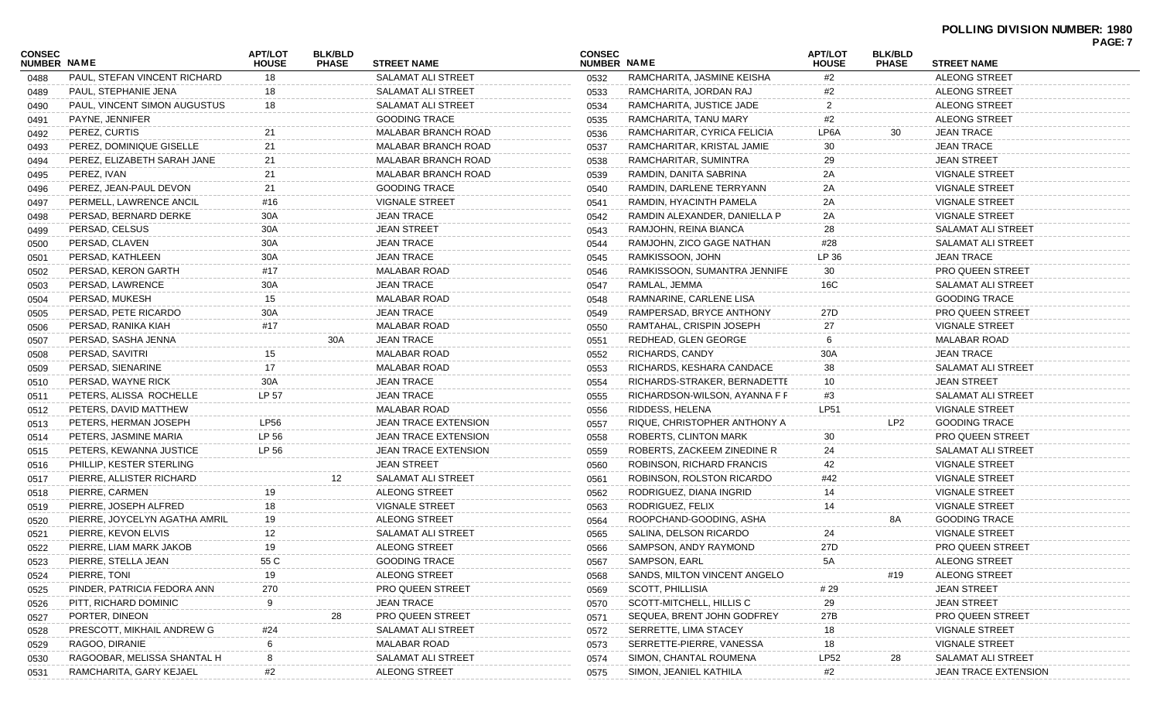| CONSEC<br><b>NUMBER NAME</b> |                               | <b>APT/LOT</b><br><b>HOUSE</b> | <b>BLK/BLD</b><br><b>PHASE</b> | <b>STREET NAME</b>          | <b>CONSEC</b><br><b>NUMBER NAME</b> |                               | <b>APT/LOT</b><br><b>HOUSE</b> | <b>BLK/BLD</b><br><b>PHASE</b> | <b>STREET NAME</b>          | <b>PAGE: 7</b> |
|------------------------------|-------------------------------|--------------------------------|--------------------------------|-----------------------------|-------------------------------------|-------------------------------|--------------------------------|--------------------------------|-----------------------------|----------------|
| 0488                         | PAUL, STEFAN VINCENT RICHARD  | 18                             |                                | SALAMAT ALI STREET          | 0532                                | RAMCHARITA, JASMINE KEISHA    | #2                             |                                | <b>ALEONG STREET</b>        |                |
| 0489                         | PAUL, STEPHANIE JENA          | 18                             |                                | SALAMAT ALI STREET          | 0533                                | RAMCHARITA, JORDAN RAJ        | #2                             |                                | <b>ALEONG STREET</b>        |                |
| 0490                         | PAUL, VINCENT SIMON AUGUSTUS  | 18                             |                                | SALAMAT ALI STREET          | 0534                                | RAMCHARITA, JUSTICE JADE      | 2                              |                                | <b>ALEONG STREET</b>        |                |
| 0491                         | PAYNE, JENNIFER               |                                |                                | <b>GOODING TRACE</b>        | 0535                                | RAMCHARITA, TANU MARY         | #2                             |                                | <b>ALEONG STREET</b>        |                |
| 0492                         | PEREZ, CURTIS                 | 21                             |                                | <b>MALABAR BRANCH ROAD</b>  | 0536                                | RAMCHARITAR, CYRICA FELICIA   | LP6A                           | 30                             | <b>JEAN TRACE</b>           |                |
| 0493                         | PEREZ, DOMINIQUE GISELLE      | 21                             |                                | MALABAR BRANCH ROAD         | 0537                                | RAMCHARITAR, KRISTAL JAMIE    | 30                             |                                | <b>JEAN TRACE</b>           |                |
| 0494                         | PEREZ, ELIZABETH SARAH JANE   | 21                             |                                | MALABAR BRANCH ROAD         | 0538                                | RAMCHARITAR, SUMINTRA         | 29                             |                                | <b>JEAN STREET</b>          |                |
| 0495                         | PEREZ, IVAN                   | 21                             |                                | MALABAR BRANCH ROAD         | 0539                                | RAMDIN, DANITA SABRINA        | 2A                             |                                | <b>VIGNALE STREET</b>       |                |
| 0496                         | PEREZ, JEAN-PAUL DEVON        | 21                             |                                | <b>GOODING TRACE</b>        | 0540                                | RAMDIN, DARLENE TERRYANN      | 2Α                             |                                | <b>VIGNALE STREET</b>       |                |
| 0497                         | PERMELL, LAWRENCE ANCIL       | #16                            |                                | <b>VIGNALE STREET</b>       | 0541                                | RAMDIN, HYACINTH PAMELA       | 2A                             |                                | <b>VIGNALE STREET</b>       |                |
| 0498                         | PERSAD, BERNARD DERKE         | 30A                            |                                | <b>JEAN TRACE</b>           | 0542                                | RAMDIN ALEXANDER, DANIELLA P  | 2A                             |                                | <b>VIGNALE STREET</b>       |                |
| 0499                         | PERSAD, CELSUS                | 30A                            |                                | <b>JEAN STREET</b>          | 0543                                | RAMJOHN, REINA BIANCA         | 28                             |                                | SALAMAT ALI STREET          |                |
| 0500                         | PERSAD, CLAVEN                | 30A                            |                                | <b>JEAN TRACE</b>           | 0544                                | RAMJOHN, ZICO GAGE NATHAN     | #28                            |                                | SALAMAT ALI STREET          |                |
| 0501                         | PERSAD, KATHLEEN              | 30A                            |                                | <b>JEAN TRACE</b>           | 0545                                | RAMKISSOON, JOHN              | LP 36                          |                                | <b>JEAN TRACE</b>           |                |
| 0502                         | PERSAD, KERON GARTH           | #17                            |                                | <b>MALABAR ROAD</b>         | 0546                                | RAMKISSOON, SUMANTRA JENNIFE  | 30                             |                                | <b>PRO QUEEN STREET</b>     |                |
| 0503                         | PERSAD, LAWRENCE              | 30A                            |                                | <b>JEAN TRACE</b>           | 0547                                | RAMLAL, JEMMA                 | 16C                            |                                | <b>SALAMAT ALI STREET</b>   |                |
| 0504                         | PERSAD, MUKESH                | 15                             |                                | <b>MALABAR ROAD</b>         | 0548                                | RAMNARINE, CARLENE LISA       |                                |                                | <b>GOODING TRACE</b>        |                |
| 0505                         | PERSAD, PETE RICARDO          | 30A                            |                                | <b>JEAN TRACE</b>           | 0549                                | RAMPERSAD, BRYCE ANTHONY      | 27D                            |                                | <b>PRO QUEEN STREET</b>     |                |
| 0506                         | PERSAD, RANIKA KIAH           | #17                            |                                | <b>MALABAR ROAD</b>         | 0550                                | RAMTAHAL, CRISPIN JOSEPH      | 27                             |                                | <b>VIGNALE STREET</b>       |                |
| 0507                         | PERSAD, SASHA JENNA           |                                | 30A                            | <b>JEAN TRACE</b>           | 0551                                | REDHEAD, GLEN GEORGE          |                                |                                | <b>MALABAR ROAD</b>         |                |
| 0508                         | PERSAD, SAVITRI               | 15                             |                                | <b>MALABAR ROAD</b>         | 0552                                | RICHARDS, CANDY               | 30A                            |                                | <b>JEAN TRACE</b>           |                |
| 0509                         | PERSAD, SIENARINE             | 17                             |                                | <b>MALABAR ROAD</b>         | 0553                                | RICHARDS, KESHARA CANDACE     | 38                             |                                | <b>SALAMAT ALI STREET</b>   |                |
| 0510                         | PERSAD, WAYNE RICK            | 30A                            |                                | <b>JEAN TRACE</b>           | 0554                                | RICHARDS-STRAKER, BERNADETTE  | 10                             |                                | <b>JEAN STREET</b>          |                |
| 0511                         | PETERS, ALISSA ROCHELLE       | LP 57                          |                                | <b>JEAN TRACE</b>           | 0555                                | RICHARDSON-WILSON, AYANNA F F | #3                             |                                | <b>SALAMAT ALI STREET</b>   |                |
| 0512                         | PETERS, DAVID MATTHEW         |                                |                                | <b>MALABAR ROAD</b>         | 0556                                | RIDDESS, HELENA               | <b>LP51</b>                    |                                | <b>VIGNALE STREET</b>       |                |
| 0513                         | PETERS, HERMAN JOSEPH         | <b>LP56</b>                    |                                | <b>JEAN TRACE EXTENSION</b> | 0557                                | RIQUE, CHRISTOPHER ANTHONY A  |                                | LP2                            | <b>GOODING TRACE</b>        |                |
| 0514                         | PETERS, JASMINE MARIA         | LP 56                          |                                | <b>JEAN TRACE EXTENSION</b> | 0558                                | ROBERTS, CLINTON MARK         | 30                             |                                | <b>PRO QUEEN STREET</b>     |                |
| 0515                         | PETERS, KEWANNA JUSTICE       | LP 56                          |                                | JEAN TRACE EXTENSION        | 0559                                | ROBERTS, ZACKEEM ZINEDINE R   | 24                             |                                | SALAMAT ALI STREET          |                |
| 0516                         | PHILLIP, KESTER STERLING      |                                |                                | <b>JEAN STREET</b>          | 0560                                | ROBINSON, RICHARD FRANCIS     | 42                             |                                | <b>VIGNALE STREET</b>       |                |
| 0517                         | PIERRE, ALLISTER RICHARD      |                                | 12                             | SALAMAT ALI STREET          | 0561                                | ROBINSON, ROLSTON RICARDO     | #42                            |                                | <b>VIGNALE STREET</b>       |                |
| 0518                         | PIERRE, CARMEN                | 19                             |                                | ALEONG STREET               | 0562                                | RODRIGUEZ, DIANA INGRID       | 14                             |                                | <b>VIGNALE STREET</b>       |                |
| 0519                         | PIERRE, JOSEPH ALFRED         | 18                             |                                | VIGNALE STREET              | 0563                                | RODRIGUEZ, FELIX              | 14                             |                                | <b>VIGNALE STREET</b>       |                |
| 0520                         | PIERRE, JOYCELYN AGATHA AMRIL | 19                             |                                | <b>ALEONG STREET</b>        | 0564                                | ROOPCHAND-GOODING, ASHA       |                                | 8A                             | <b>GOODING TRACE</b>        |                |
| 0521                         | PIERRE, KEVON ELVIS           | 12                             |                                | <b>SALAMAT ALI STREET</b>   | 0565                                | SALINA, DELSON RICARDO        | 24                             |                                | <b>VIGNALE STREET</b>       |                |
| 0522                         | PIERRE, LIAM MARK JAKOB       | 19                             |                                | <b>ALEONG STREET</b>        | 0566                                | SAMPSON, ANDY RAYMOND         | 27D                            |                                | PRO QUEEN STREET            |                |
| 0523                         | PIERRE, STELLA JEAN           | 55 C                           |                                | <b>GOODING TRACE</b>        | 0567                                | SAMPSON, EARL                 | 5A                             |                                | ALEONG STREET               |                |
| 0524                         | PIERRE, TONI                  | 19                             |                                | <b>ALEONG STREET</b>        | 0568                                | SANDS, MILTON VINCENT ANGELO  |                                | #19                            | <b>ALEONG STREET</b>        |                |
| 0525                         | PINDER, PATRICIA FEDORA ANN   | 270                            |                                | PRO QUEEN STREET            | 0569                                | SCOTT, PHILLISIA              | #29                            |                                | <b>JEAN STREET</b>          |                |
| 0526                         | PITT, RICHARD DOMINIC         | 9                              |                                | <b>JEAN TRACE</b>           | 0570                                | SCOTT-MITCHELL, HILLIS C      | 29                             |                                | <b>JEAN STREET</b>          |                |
| 0527                         | PORTER, DINEON                |                                | 28                             | PRO QUEEN STREET            | 0571                                | SEQUEA, BRENT JOHN GODFREY    | 27B                            |                                | PRO QUEEN STREET            |                |
| 0528                         | PRESCOTT, MIKHAIL ANDREW G    | #24                            |                                | SALAMAT ALI STREET          | 0572                                | SERRETTE, LIMA STACEY         | 18                             |                                | <b>VIGNALE STREET</b>       |                |
| 0529                         | RAGOO, DIRANIE                | 6                              |                                | <b>MALABAR ROAD</b>         | 0573                                | SERRETTE-PIERRE, VANESSA      | 18                             |                                | <b>VIGNALE STREET</b>       |                |
| 0530                         | RAGOOBAR, MELISSA SHANTAL H   | 8                              |                                | SALAMAT ALI STREET          | 0574                                | SIMON, CHANTAL ROUMENA        | <b>LP52</b>                    | 28                             | SALAMAT ALI STREET          |                |
| 0531                         | RAMCHARITA, GARY KEJAEL       | #2                             |                                | <b>ALEONG STREET</b>        | 0575                                | SIMON, JEANIEL KATHILA        | #2                             |                                | <b>JEAN TRACE EXTENSION</b> |                |
|                              |                               |                                |                                |                             |                                     |                               |                                |                                |                             |                |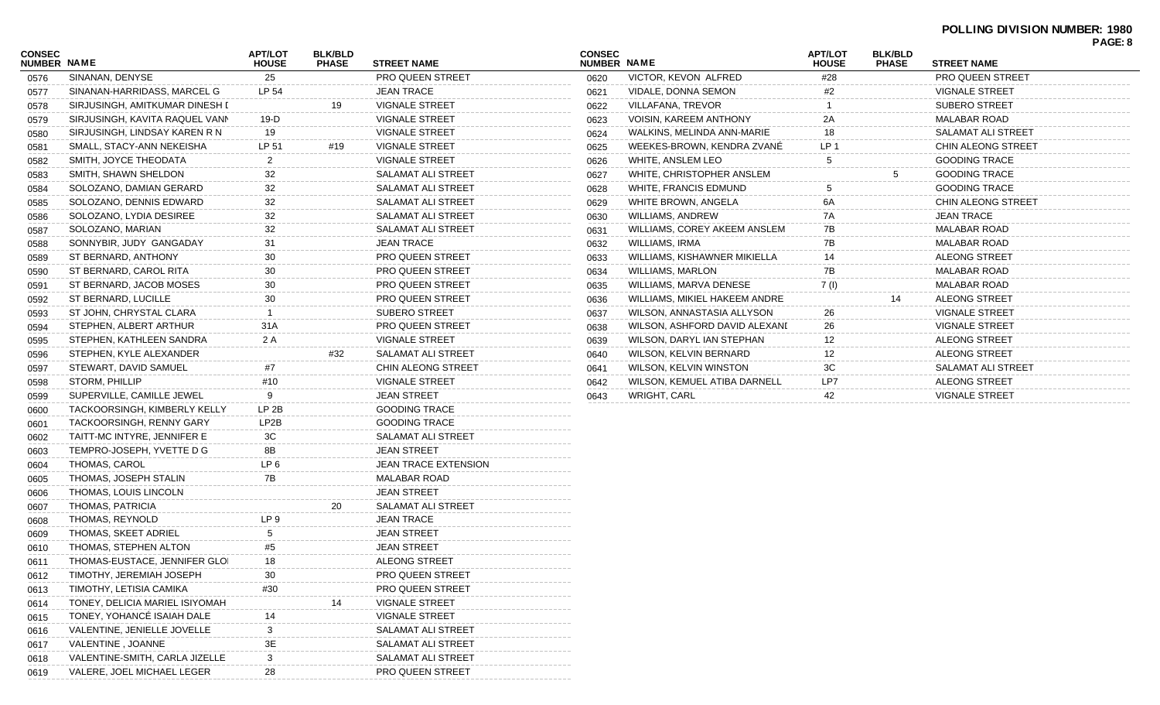## **POLLING DIVISION NUMBER: 1980 PAGE: 8**

| <b>CONSEC</b><br>NUMBER NAME |                                | <b>APT/LOT</b><br><b>HOUSE</b> | <b>BLK/BLD</b><br><b>PHASE</b> | <b>STREET NAME</b>          | <b>CONSEC</b><br>NUMBER NAME |                               | <b>APT/LOT</b><br><b>HOUSE</b> | <b>BLK/BLD</b><br><b>PHASE</b> | <b>STREET NAME</b>      | . nu. v |
|------------------------------|--------------------------------|--------------------------------|--------------------------------|-----------------------------|------------------------------|-------------------------------|--------------------------------|--------------------------------|-------------------------|---------|
| 0576                         | SINANAN, DENYSE                | 25                             |                                | <b>PRO QUEEN STREET</b>     | 0620                         | VICTOR, KEVON ALFRED          | #28                            |                                | <b>PRO QUEEN STREET</b> |         |
| 0577                         | SINANAN-HARRIDASS, MARCEL G    | LP 54                          |                                | <b>JEAN TRACE</b>           | 0621                         | VIDALE, DONNA SEMON           | #2                             |                                | <b>VIGNALE STREET</b>   |         |
| 0578                         | SIRJUSINGH, AMITKUMAR DINESH I |                                | 19                             | <b>VIGNALE STREET</b>       | 0622                         | VILLAFANA, TREVOR             |                                |                                | <b>SUBERO STREET</b>    |         |
| 0579                         | SIRJUSINGH, KAVITA RAQUEL VANN | 19-D                           |                                | <b>VIGNALE STREET</b>       | 0623                         | <b>VOISIN, KAREEM ANTHONY</b> | 2A                             |                                | <b>MALABAR ROAD</b>     |         |
| 0580                         | SIRJUSINGH, LINDSAY KAREN R N  | 19                             |                                | <b>VIGNALE STREET</b>       | 0624                         | WALKINS, MELINDA ANN-MARIE    | 18                             |                                | SALAMAT ALI STREET      |         |
| 0581                         | SMALL, STACY-ANN NEKEISHA      | LP 51                          | #19                            | <b>VIGNALE STREET</b>       | 0625                         | WEEKES-BROWN, KENDRA ZVANE    | LP <sub>1</sub>                |                                | CHIN ALEONG STREET      |         |
| 0582                         | SMITH, JOYCE THEODATA          | 2                              |                                | <b>VIGNALE STREET</b>       | 0626                         | WHITE, ANSLEM LEO             | 5                              |                                | <b>GOODING TRACE</b>    |         |
| 0583                         | SMITH, SHAWN SHELDON           | 32                             |                                | SALAMAT ALI STREET          | 0627                         | WHITE, CHRISTOPHER ANSLEM     |                                |                                | <b>GOODING TRACE</b>    |         |
| 0584                         | SOLOZANO, DAMIAN GERARD        | 32                             |                                | <b>SALAMAT ALI STREET</b>   | 0628                         | <b>WHITE, FRANCIS EDMUND</b>  |                                |                                | <b>GOODING TRACE</b>    |         |
| 0585                         | SOLOZANO, DENNIS EDWARD        | 32                             |                                | <b>SALAMAT ALI STREET</b>   | 0629                         | WHITE BROWN, ANGELA           | 6A                             |                                | CHIN ALEONG STREET      |         |
| 0586                         | SOLOZANO, LYDIA DESIREE        | 32                             |                                | SALAMAT ALI STREET          | 0630                         | <b>WILLIAMS, ANDREW</b>       | 7A                             |                                | <b>JEAN TRACE</b>       |         |
| 0587                         | SOLOZANO, MARIAN               | 32                             |                                | SALAMAT ALI STREET          | 0631                         | WILLIAMS, COREY AKEEM ANSLEM  | 7B                             |                                | <b>MALABAR ROAD</b>     |         |
| 0588                         | SONNYBIR, JUDY GANGADAY        | 31                             |                                | <b>JEAN TRACE</b>           | 0632                         | WILLIAMS, IRMA                | 7B                             |                                | <b>MALABAR ROAD</b>     |         |
| 0589                         | ST BERNARD, ANTHONY            | 30                             |                                | PRO QUEEN STREET            | 0633                         | WILLIAMS, KISHAWNER MIKIELLA  | 14                             |                                | <b>ALEONG STREET</b>    |         |
| 0590                         | ST BERNARD, CAROL RITA         | 30                             |                                | <b>PRO QUEEN STREET</b>     | 0634                         | <b>WILLIAMS, MARLON</b>       | 7B                             |                                | <b>MALABAR ROAD</b>     |         |
| 0591                         | ST BERNARD, JACOB MOSES        | 30                             |                                | <b>PRO QUEEN STREET</b>     | 0635                         | WILLIAMS, MARVA DENESE        | 7(1)                           |                                | <b>MALABAR ROAD</b>     |         |
| 0592                         | ST BERNARD, LUCILLE            | 30                             |                                | <b>PRO QUEEN STREET</b>     | 0636                         | WILLIAMS, MIKIEL HAKEEM ANDRE |                                | 14                             | <b>ALEONG STREET</b>    |         |
| 0593                         | ST JOHN, CHRYSTAL CLARA        |                                |                                | <b>SUBERO STREET</b>        | 0637                         | WILSON, ANNASTASIA ALLYSON    | 26                             |                                | <b>VIGNALE STREET</b>   |         |
| 0594                         | STEPHEN, ALBERT ARTHUR         | 31A                            |                                | <b>PRO QUEEN STREET</b>     | 0638                         | WILSON, ASHFORD DAVID ALEXANI | 26                             |                                | <b>VIGNALE STREET</b>   |         |
| 0595                         | STEPHEN, KATHLEEN SANDRA       | 2 A                            |                                | <b>VIGNALE STREET</b>       | 0639                         | WILSON, DARYL IAN STEPHAN     | 12                             |                                | ALEONG STREET           |         |
| 0596                         | STEPHEN, KYLE ALEXANDER        |                                | #32                            | SALAMAT ALI STREET          | 0640                         | WILSON, KELVIN BERNARD        | 12                             |                                | <b>ALEONG STREET</b>    |         |
| 0597                         | STEWART, DAVID SAMUEL          | #7                             |                                | CHIN ALEONG STREET          | 0641                         | WILSON, KELVIN WINSTON        | 3C                             |                                | SALAMAT ALI STREET      |         |
| 0598                         | STORM, PHILLIP                 | #10                            |                                | <b>VIGNALE STREET</b>       | 0642                         | WILSON, KEMUEL ATIBA DARNELL  | LP7                            |                                | ALEONG STREET           |         |
| 0599                         | SUPERVILLE, CAMILLE JEWEL      | 9                              |                                | <b>JEAN STREET</b>          | 0643                         | WRIGHT, CARL                  | 42                             |                                | <b>VIGNALE STREET</b>   |         |
| 0600                         | TACKOORSINGH, KIMBERLY KELLY   | LP 2B                          |                                | <b>GOODING TRACE</b>        |                              |                               |                                |                                |                         |         |
| 0601                         | TACKOORSINGH, RENNY GARY       | LP <sub>2</sub> B              |                                | <b>GOODING TRACE</b>        |                              |                               |                                |                                |                         |         |
| 0602                         | TAITT-MC INTYRE, JENNIFER E    | ЗC                             |                                | SALAMAT ALI STREET          |                              |                               |                                |                                |                         |         |
| 0603                         | TEMPRO-JOSEPH, YVETTE D G      | 8B                             |                                | <b>JEAN STREET</b>          |                              |                               |                                |                                |                         |         |
| 0604                         | <b>THOMAS, CAROL</b>           | LP <sub>6</sub>                |                                | <b>JEAN TRACE EXTENSION</b> |                              |                               |                                |                                |                         |         |
| 0605                         | THOMAS, JOSEPH STALIN          |                                |                                | <b>MALABAR ROAD</b>         |                              |                               |                                |                                |                         |         |
| 0606                         | THOMAS, LOUIS LINCOLN          |                                |                                | <b>JEAN STREET</b>          |                              |                               |                                |                                |                         |         |
| 0607                         | THOMAS, PATRICIA               |                                | 20                             | SALAMAT ALI STREET          |                              |                               |                                |                                |                         |         |
| 0608                         | THOMAS, REYNOLD                | LP <sub>9</sub>                |                                | <b>JEAN TRACE</b>           |                              |                               |                                |                                |                         |         |
| 0609                         | THOMAS, SKEET ADRIEL           |                                |                                | <b>JEAN STREET</b>          |                              |                               |                                |                                |                         |         |
| 0610                         | THOMAS, STEPHEN ALTON          | #5                             |                                | <b>JEAN STREET</b>          |                              |                               |                                |                                |                         |         |
| 0611                         | THOMAS-EUSTACE, JENNIFER GLOI  |                                |                                | ALEONG STREET               |                              |                               |                                |                                |                         |         |
| 0612                         | TIMOTHY, JEREMIAH JOSEPH       | 30                             |                                | PRO QUEEN STREET            |                              |                               |                                |                                |                         |         |
| 0613                         | TIMOTHY, LETISIA CAMIKA        | #30                            |                                | PRO QUEEN STREET            |                              |                               |                                |                                |                         |         |
| 0614                         | TONEY, DELICIA MARIEL ISIYOMAH |                                | 14                             | <b>VIGNALE STREET</b>       |                              |                               |                                |                                |                         |         |
| 0615                         | TONEY, YOHANCÉ ISAIAH DALE     | 14                             |                                | <b>VIGNALE STREET</b>       |                              |                               |                                |                                |                         |         |
| 0616                         | VALENTINE, JENIELLE JOVELLE    | 3                              |                                | SALAMAT ALI STREET          |                              |                               |                                |                                |                         |         |
| 0617                         | VALENTINE, JOANNE              | 3E                             |                                | SALAMAT ALI STREET          |                              |                               |                                |                                |                         |         |
| 0618                         | VALENTINE-SMITH, CARLA JIZELLE | 3                              |                                | SALAMAT ALI STREET          |                              |                               |                                |                                |                         |         |
| 0619                         | VALERE, JOEL MICHAEL LEGER     | 28                             |                                | PRO QUEEN STREET            |                              |                               |                                |                                |                         |         |
|                              |                                |                                |                                |                             |                              |                               |                                |                                |                         |         |